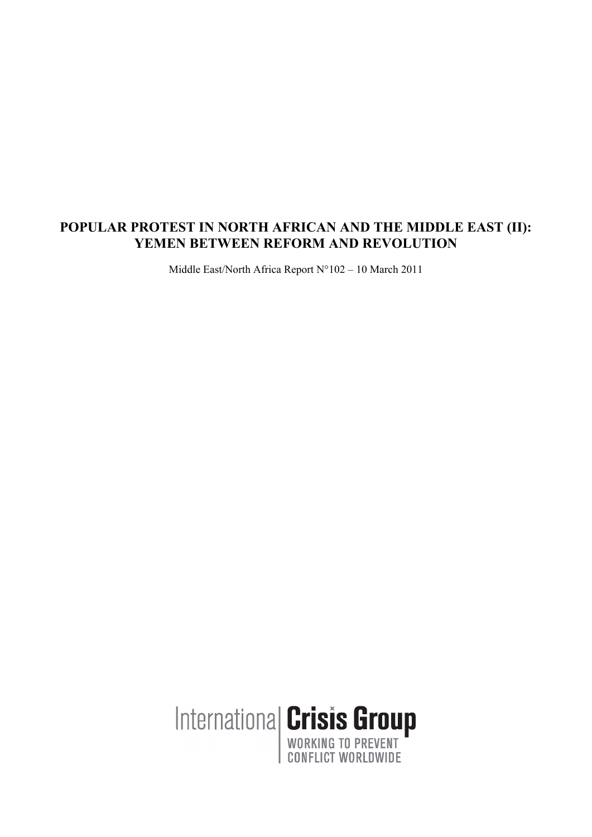# **POPULAR PROTEST IN NORTH AFRICAN AND THE MIDDLE EAST (II): YEMEN BETWEEN REFORM AND REVOLUTION**

Middle East/North Africa Report N°102 – 10 March 2011

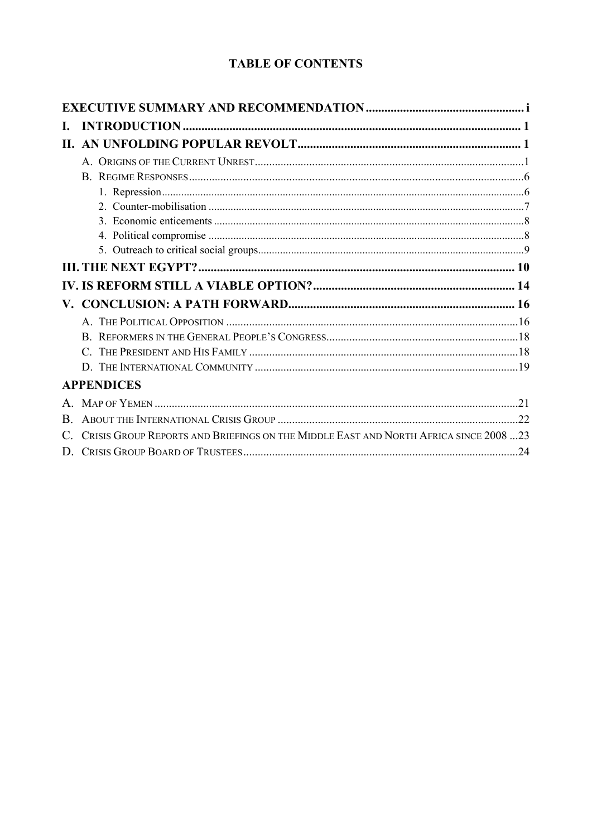# **TABLE OF CONTENTS**

| L.                |                                                                                      |  |
|-------------------|--------------------------------------------------------------------------------------|--|
|                   |                                                                                      |  |
|                   |                                                                                      |  |
|                   |                                                                                      |  |
|                   |                                                                                      |  |
|                   |                                                                                      |  |
|                   |                                                                                      |  |
|                   |                                                                                      |  |
|                   |                                                                                      |  |
|                   |                                                                                      |  |
|                   |                                                                                      |  |
| ${\bf V}_{\cdot}$ |                                                                                      |  |
|                   |                                                                                      |  |
|                   |                                                                                      |  |
|                   |                                                                                      |  |
|                   |                                                                                      |  |
|                   | <b>APPENDICES</b>                                                                    |  |
|                   |                                                                                      |  |
| B.                |                                                                                      |  |
|                   | CRISIS GROUP REPORTS AND BRIEFINGS ON THE MIDDLE EAST AND NORTH AFRICA SINCE 2008 23 |  |
|                   |                                                                                      |  |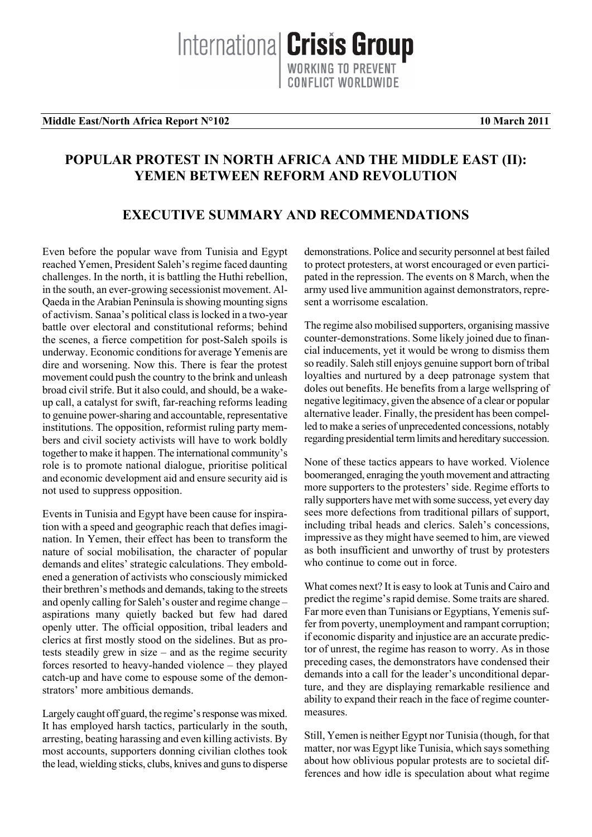## **Middle East/North Africa Report N°102** 10 March 2011

# **POPULAR PROTEST IN NORTH AFRICA AND THE MIDDLE EAST (II): YEMEN BETWEEN REFORM AND REVOLUTION**

# **EXECUTIVE SUMMARY AND RECOMMENDATIONS**

Even before the popular wave from Tunisia and Egypt reached Yemen, President Saleh's regime faced daunting challenges. In the north, it is battling the Huthi rebellion, in the south, an ever-growing secessionist movement. Al-Qaeda in the Arabian Peninsula is showing mounting signs of activism. Sanaa's political class is locked in a two-year battle over electoral and constitutional reforms; behind the scenes, a fierce competition for post-Saleh spoils is underway. Economic conditions for average Yemenis are dire and worsening. Now this. There is fear the protest movement could push the country to the brink and unleash broad civil strife. But it also could, and should, be a wakeup call, a catalyst for swift, far-reaching reforms leading to genuine power-sharing and accountable, representative institutions. The opposition, reformist ruling party members and civil society activists will have to work boldly together to make it happen. The international community's role is to promote national dialogue, prioritise political and economic development aid and ensure security aid is not used to suppress opposition.

Events in Tunisia and Egypt have been cause for inspiration with a speed and geographic reach that defies imagination. In Yemen, their effect has been to transform the nature of social mobilisation, the character of popular demands and elites' strategic calculations. They emboldened a generation of activists who consciously mimicked their brethren's methods and demands, taking to the streets and openly calling for Saleh's ouster and regime change – aspirations many quietly backed but few had dared openly utter. The official opposition, tribal leaders and clerics at first mostly stood on the sidelines. But as protests steadily grew in size – and as the regime security forces resorted to heavy-handed violence – they played catch-up and have come to espouse some of the demonstrators' more ambitious demands.

Largely caught off guard, the regime's response was mixed. It has employed harsh tactics, particularly in the south, arresting, beating harassing and even killing activists. By most accounts, supporters donning civilian clothes took the lead, wielding sticks, clubs, knives and guns to disperse

demonstrations. Police and security personnel at best failed to protect protesters, at worst encouraged or even participated in the repression. The events on 8 March, when the army used live ammunition against demonstrators, represent a worrisome escalation.

The regime also mobilised supporters, organising massive counter-demonstrations. Some likely joined due to financial inducements, yet it would be wrong to dismiss them so readily. Saleh still enjoys genuine support born of tribal loyalties and nurtured by a deep patronage system that doles out benefits. He benefits from a large wellspring of negative legitimacy, given the absence of a clear or popular alternative leader. Finally, the president has been compelled to make a series of unprecedented concessions, notably regarding presidential term limits and hereditary succession.

None of these tactics appears to have worked. Violence boomeranged, enraging the youth movement and attracting more supporters to the protesters' side. Regime efforts to rally supporters have met with some success, yet every day sees more defections from traditional pillars of support, including tribal heads and clerics. Saleh's concessions, impressive as they might have seemed to him, are viewed as both insufficient and unworthy of trust by protesters who continue to come out in force.

What comes next? It is easy to look at Tunis and Cairo and predict the regime's rapid demise. Some traits are shared. Far more even than Tunisians or Egyptians, Yemenis suffer from poverty, unemployment and rampant corruption; if economic disparity and injustice are an accurate predictor of unrest, the regime has reason to worry. As in those preceding cases, the demonstrators have condensed their demands into a call for the leader's unconditional departure, and they are displaying remarkable resilience and ability to expand their reach in the face of regime countermeasures.

Still, Yemen is neither Egypt nor Tunisia (though, for that matter, nor was Egypt like Tunisia, which says something about how oblivious popular protests are to societal differences and how idle is speculation about what regime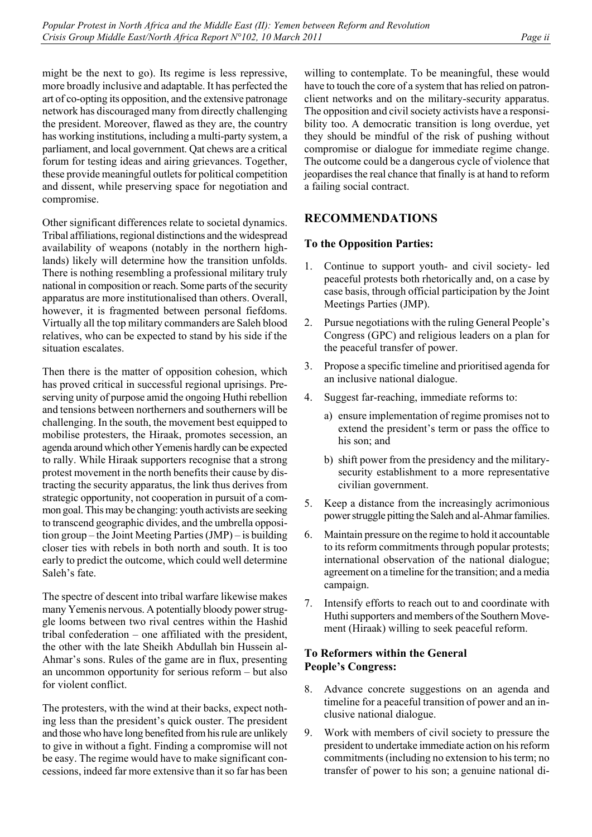might be the next to go). Its regime is less repressive, more broadly inclusive and adaptable. It has perfected the art of co-opting its opposition, and the extensive patronage network has discouraged many from directly challenging the president. Moreover, flawed as they are, the country has working institutions, including a multi-party system, a parliament, and local government. Qat chews are a critical forum for testing ideas and airing grievances. Together, these provide meaningful outlets for political competition and dissent, while preserving space for negotiation and compromise.

Other significant differences relate to societal dynamics. Tribal affiliations, regional distinctions and the widespread availability of weapons (notably in the northern highlands) likely will determine how the transition unfolds. There is nothing resembling a professional military truly national in composition or reach. Some parts of the security apparatus are more institutionalised than others. Overall, however, it is fragmented between personal fiefdoms. Virtually all the top military commanders are Saleh blood relatives, who can be expected to stand by his side if the situation escalates.

Then there is the matter of opposition cohesion, which has proved critical in successful regional uprisings. Preserving unity of purpose amid the ongoing Huthi rebellion and tensions between northerners and southerners will be challenging. In the south, the movement best equipped to mobilise protesters, the Hiraak, promotes secession, an agenda around which other Yemenis hardly can be expected to rally. While Hiraak supporters recognise that a strong protest movement in the north benefits their cause by distracting the security apparatus, the link thus derives from strategic opportunity, not cooperation in pursuit of a common goal. This may be changing: youth activists are seeking to transcend geographic divides, and the umbrella opposition group – the Joint Meeting Parties (JMP) – is building closer ties with rebels in both north and south. It is too early to predict the outcome, which could well determine Saleh's fate.

The spectre of descent into tribal warfare likewise makes many Yemenis nervous. A potentially bloody power struggle looms between two rival centres within the Hashid tribal confederation – one affiliated with the president, the other with the late Sheikh Abdullah bin Hussein al-Ahmar's sons. Rules of the game are in flux, presenting an uncommon opportunity for serious reform – but also for violent conflict.

The protesters, with the wind at their backs, expect nothing less than the president's quick ouster. The president and those who have long benefited from his rule are unlikely to give in without a fight. Finding a compromise will not be easy. The regime would have to make significant concessions, indeed far more extensive than it so far has been

willing to contemplate. To be meaningful, these would have to touch the core of a system that has relied on patronclient networks and on the military-security apparatus. The opposition and civil society activists have a responsibility too. A democratic transition is long overdue, yet they should be mindful of the risk of pushing without compromise or dialogue for immediate regime change. The outcome could be a dangerous cycle of violence that jeopardises the real chance that finally is at hand to reform a failing social contract.

# **RECOMMENDATIONS**

# **To the Opposition Parties:**

- 1. Continue to support youth- and civil society- led peaceful protests both rhetorically and, on a case by case basis, through official participation by the Joint Meetings Parties (JMP).
- 2. Pursue negotiations with the ruling General People's Congress (GPC) and religious leaders on a plan for the peaceful transfer of power.
- 3. Propose a specific timeline and prioritised agenda for an inclusive national dialogue.
- 4. Suggest far-reaching, immediate reforms to:
	- a) ensure implementation of regime promises not to extend the president's term or pass the office to his son; and
	- b) shift power from the presidency and the militarysecurity establishment to a more representative civilian government.
- 5. Keep a distance from the increasingly acrimonious power struggle pitting the Saleh and al-Ahmar families.
- 6. Maintain pressure on the regime to hold it accountable to its reform commitments through popular protests; international observation of the national dialogue; agreement on a timeline for the transition; and a media campaign.
- 7. Intensify efforts to reach out to and coordinate with Huthi supporters and members of the Southern Movement (Hiraak) willing to seek peaceful reform.

# **To Reformers within the General People's Congress:**

- 8. Advance concrete suggestions on an agenda and timeline for a peaceful transition of power and an inclusive national dialogue.
- 9. Work with members of civil society to pressure the president to undertake immediate action on his reform commitments (including no extension to his term; no transfer of power to his son; a genuine national di-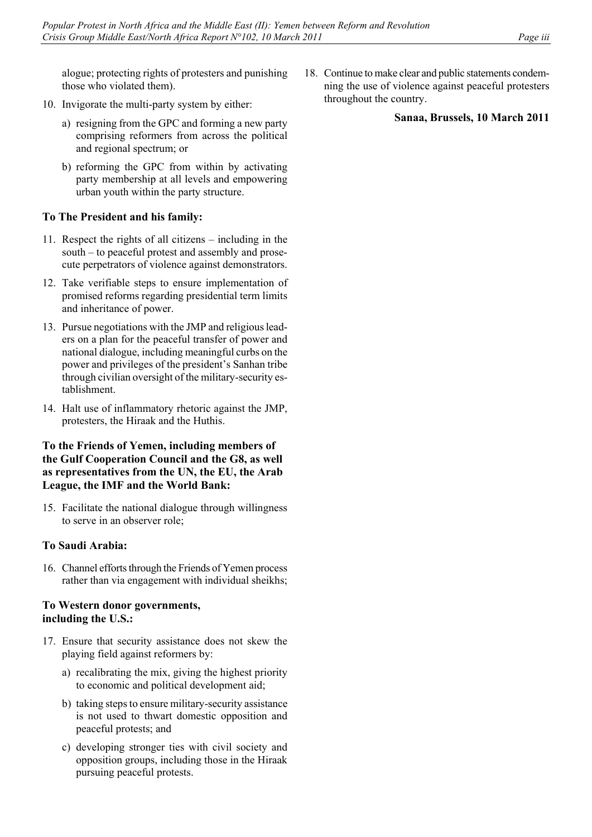alogue; protecting rights of protesters and punishing those who violated them).

- 10. Invigorate the multi-party system by either:
	- a) resigning from the GPC and forming a new party comprising reformers from across the political and regional spectrum; or
	- b) reforming the GPC from within by activating party membership at all levels and empowering urban youth within the party structure.

# **To The President and his family:**

- 11. Respect the rights of all citizens including in the south – to peaceful protest and assembly and prosecute perpetrators of violence against demonstrators.
- 12. Take verifiable steps to ensure implementation of promised reforms regarding presidential term limits and inheritance of power.
- 13. Pursue negotiations with the JMP and religious leaders on a plan for the peaceful transfer of power and national dialogue, including meaningful curbs on the power and privileges of the president's Sanhan tribe through civilian oversight of the military-security establishment.
- 14. Halt use of inflammatory rhetoric against the JMP, protesters, the Hiraak and the Huthis.

# **To the Friends of Yemen, including members of the Gulf Cooperation Council and the G8, as well as representatives from the UN, the EU, the Arab League, the IMF and the World Bank:**

15. Facilitate the national dialogue through willingness to serve in an observer role;

# **To Saudi Arabia:**

16. Channel efforts through the Friends of Yemen process rather than via engagement with individual sheikhs;

# **To Western donor governments, including the U.S.:**

- 17. Ensure that security assistance does not skew the playing field against reformers by:
	- a) recalibrating the mix, giving the highest priority to economic and political development aid;
	- b) taking steps to ensure military-security assistance is not used to thwart domestic opposition and peaceful protests; and
	- c) developing stronger ties with civil society and opposition groups, including those in the Hiraak pursuing peaceful protests.

18. Continue to make clear and public statements condemning the use of violence against peaceful protesters throughout the country.

# **Sanaa, Brussels, 10 March 2011**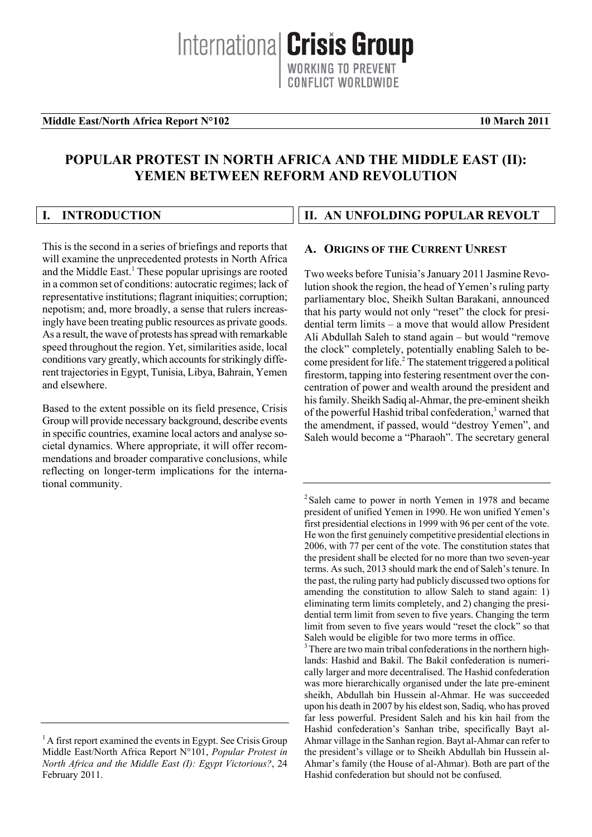## **Middle East/North Africa Report N°102** 10 March 2011

# **POPULAR PROTEST IN NORTH AFRICA AND THE MIDDLE EAST (II): YEMEN BETWEEN REFORM AND REVOLUTION**

| I. INTRODUCTION | II. AN UNFOLDING POPULAR REVOLT |
|-----------------|---------------------------------|

This is the second in a series of briefings and reports that will examine the unprecedented protests in North Africa and the Middle East.<sup>1</sup> These popular uprisings are rooted in a common set of conditions: autocratic regimes; lack of representative institutions; flagrant iniquities; corruption; nepotism; and, more broadly, a sense that rulers increasingly have been treating public resources as private goods. As a result, the wave of protests has spread with remarkable speed throughout the region. Yet, similarities aside, local conditions vary greatly, which accounts for strikingly different trajectories in Egypt, Tunisia, Libya, Bahrain, Yemen and elsewhere.

Based to the extent possible on its field presence, Crisis Group will provide necessary background, describe events in specific countries, examine local actors and analyse societal dynamics. Where appropriate, it will offer recommendations and broader comparative conclusions, while reflecting on longer-term implications for the international community.

# **A. ORIGINS OF THE CURRENT UNREST**

Two weeks before Tunisia's January 2011 Jasmine Revolution shook the region, the head of Yemen's ruling party parliamentary bloc, Sheikh Sultan Barakani, announced that his party would not only "reset" the clock for presidential term limits – a move that would allow President Ali Abdullah Saleh to stand again – but would "remove the clock" completely, potentially enabling Saleh to become president for life.<sup>2</sup> The statement triggered a political firestorm, tapping into festering resentment over the concentration of power and wealth around the president and his family. Sheikh Sadiq al-Ahmar, the pre-eminent sheikh of the powerful Hashid tribal confederation,<sup>3</sup> warned that the amendment, if passed, would "destroy Yemen", and Saleh would become a "Pharaoh". The secretary general

<sup>&</sup>lt;sup>1</sup> A first report examined the events in Egypt. See Crisis Group Middle East/North Africa Report N°101, *Popular Protest in North Africa and the Middle East (I): Egypt Victorious?*, 24 February 2011.

<sup>&</sup>lt;sup>2</sup> Saleh came to power in north Yemen in 1978 and became president of unified Yemen in 1990. He won unified Yemen's first presidential elections in 1999 with 96 per cent of the vote. He won the first genuinely competitive presidential elections in 2006, with 77 per cent of the vote. The constitution states that the president shall be elected for no more than two seven-year terms. As such, 2013 should mark the end of Saleh's tenure. In the past, the ruling party had publicly discussed two options for amending the constitution to allow Saleh to stand again: 1) eliminating term limits completely, and 2) changing the presidential term limit from seven to five years. Changing the term limit from seven to five years would "reset the clock" so that Saleh would be eligible for two more terms in office.

<sup>&</sup>lt;sup>3</sup> There are two main tribal confederations in the northern highlands: Hashid and Bakil. The Bakil confederation is numerically larger and more decentralised. The Hashid confederation was more hierarchically organised under the late pre-eminent sheikh, Abdullah bin Hussein al-Ahmar. He was succeeded upon his death in 2007 by his eldest son, Sadiq, who has proved far less powerful. President Saleh and his kin hail from the Hashid confederation's Sanhan tribe, specifically Bayt al-Ahmar village in the Sanhan region. Bayt al-Ahmar can refer to the president's village or to Sheikh Abdullah bin Hussein al-Ahmar's family (the House of al-Ahmar). Both are part of the Hashid confederation but should not be confused.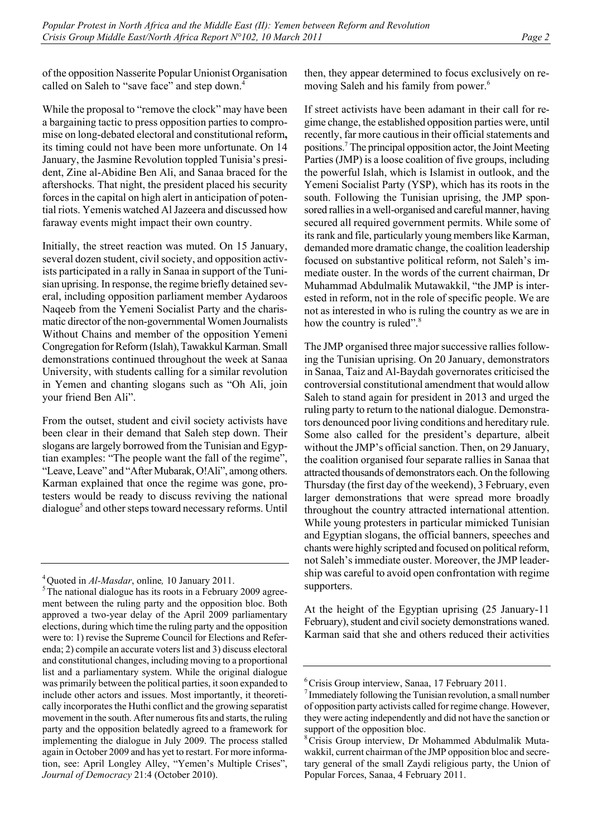of the opposition Nasserite Popular Unionist Organisation called on Saleh to "save face" and step down.<sup>4</sup>

While the proposal to "remove the clock" may have been a bargaining tactic to press opposition parties to compromise on long-debated electoral and constitutional reform**,**  its timing could not have been more unfortunate. On 14 January, the Jasmine Revolution toppled Tunisia's president, Zine al-Abidine Ben Ali, and Sanaa braced for the aftershocks. That night, the president placed his security forces in the capital on high alert in anticipation of potential riots. Yemenis watched Al Jazeera and discussed how faraway events might impact their own country.

Initially, the street reaction was muted. On 15 January, several dozen student, civil society, and opposition activists participated in a rally in Sanaa in support of the Tunisian uprising. In response, the regime briefly detained several, including opposition parliament member Aydaroos Naqeeb from the Yemeni Socialist Party and the charismatic director of the non-governmental Women Journalists Without Chains and member of the opposition Yemeni Congregation for Reform (Islah), Tawakkul Karman. Small demonstrations continued throughout the week at Sanaa University, with students calling for a similar revolution in Yemen and chanting slogans such as "Oh Ali, join your friend Ben Ali".

From the outset, student and civil society activists have been clear in their demand that Saleh step down. Their slogans are largely borrowed from the Tunisian and Egyptian examples: "The people want the fall of the regime", "Leave, Leave" and "After Mubarak, O!Ali", among others. Karman explained that once the regime was gone, protesters would be ready to discuss reviving the national dialogue<sup>5</sup> and other steps toward necessary reforms. Until then, they appear determined to focus exclusively on removing Saleh and his family from power.<sup>6</sup>

If street activists have been adamant in their call for regime change, the established opposition parties were, until recently, far more cautious in their official statements and positions.7 The principal opposition actor, the Joint Meeting Parties (JMP) is a loose coalition of five groups, including the powerful Islah, which is Islamist in outlook, and the Yemeni Socialist Party (YSP), which has its roots in the south. Following the Tunisian uprising, the JMP sponsored rallies in a well-organised and careful manner, having secured all required government permits. While some of its rank and file, particularly young members like Karman, demanded more dramatic change, the coalition leadership focused on substantive political reform, not Saleh's immediate ouster. In the words of the current chairman, Dr Muhammad Abdulmalik Mutawakkil, "the JMP is interested in reform, not in the role of specific people. We are not as interested in who is ruling the country as we are in how the country is ruled".<sup>8</sup>

The JMP organised three major successive rallies following the Tunisian uprising. On 20 January, demonstrators in Sanaa, Taiz and Al-Baydah governorates criticised the controversial constitutional amendment that would allow Saleh to stand again for president in 2013 and urged the ruling party to return to the national dialogue. Demonstrators denounced poor living conditions and hereditary rule. Some also called for the president's departure, albeit without the JMP's official sanction. Then, on 29 January, the coalition organised four separate rallies in Sanaa that attracted thousands of demonstrators each. On the following Thursday (the first day of the weekend), 3 February, even larger demonstrations that were spread more broadly throughout the country attracted international attention. While young protesters in particular mimicked Tunisian and Egyptian slogans, the official banners, speeches and chants were highly scripted and focused on political reform, not Saleh's immediate ouster. Moreover, the JMP leadership was careful to avoid open confrontation with regime supporters.

At the height of the Egyptian uprising (25 January-11 February), student and civil society demonstrations waned. Karman said that she and others reduced their activities

<sup>&</sup>lt;sup>4</sup>Quoted in *Al-Masdar*, online, 10 January 2011.

 $5$ The national dialogue has its roots in a February 2009 agreement between the ruling party and the opposition bloc. Both approved a two-year delay of the April 2009 parliamentary elections, during which time the ruling party and the opposition were to: 1) revise the Supreme Council for Elections and Referenda; 2) compile an accurate voters list and 3) discuss electoral and constitutional changes, including moving to a proportional list and a parliamentary system. While the original dialogue was primarily between the political parties, it soon expanded to include other actors and issues. Most importantly, it theoretically incorporates the Huthi conflict and the growing separatist movement in the south. After numerous fits and starts, the ruling party and the opposition belatedly agreed to a framework for implementing the dialogue in July 2009. The process stalled again in October 2009 and has yet to restart. For more information, see: April Longley Alley, "Yemen's Multiple Crises", *Journal of Democracy* 21:4 (October 2010).

<sup>6</sup> Crisis Group interview, Sanaa, 17 February 2011.

<sup>7</sup> Immediately following the Tunisian revolution, a small number of opposition party activists called for regime change. However, they were acting independently and did not have the sanction or support of the opposition bloc.

<sup>8</sup> Crisis Group interview, Dr Mohammed Abdulmalik Mutawakkil, current chairman of the JMP opposition bloc and secretary general of the small Zaydi religious party, the Union of Popular Forces, Sanaa, 4 February 2011.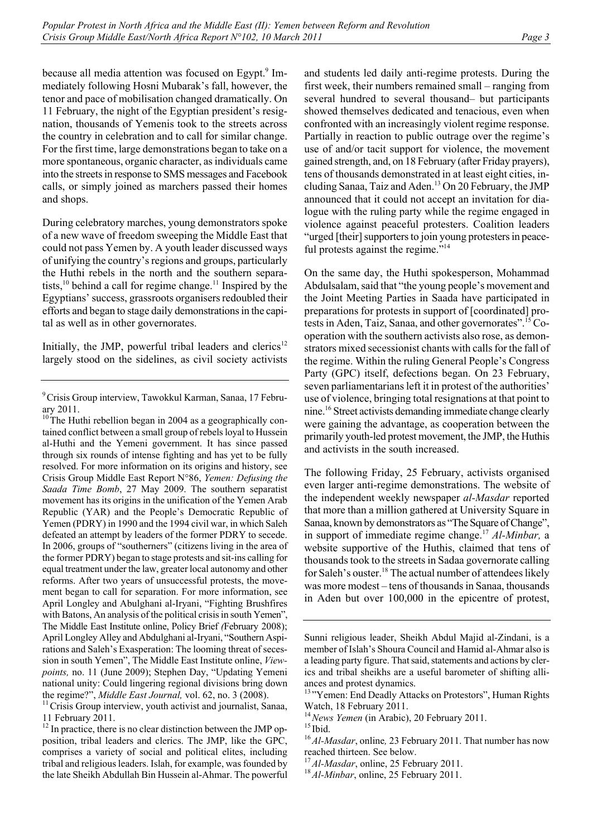because all media attention was focused on Egypt.<sup>9</sup> Immediately following Hosni Mubarak's fall, however, the tenor and pace of mobilisation changed dramatically. On 11 February, the night of the Egyptian president's resignation, thousands of Yemenis took to the streets across the country in celebration and to call for similar change. For the first time, large demonstrations began to take on a more spontaneous, organic character, as individuals came into the streets in response to SMS messages and Facebook calls, or simply joined as marchers passed their homes and shops.

During celebratory marches, young demonstrators spoke of a new wave of freedom sweeping the Middle East that could not pass Yemen by. A youth leader discussed ways of unifying the country's regions and groups, particularly the Huthi rebels in the north and the southern separatists, $10$  behind a call for regime change.<sup>11</sup> Inspired by the Egyptians' success, grassroots organisers redoubled their efforts and began to stage daily demonstrations in the capital as well as in other governorates.

Initially, the JMP, powerful tribal leaders and clerics<sup>12</sup> largely stood on the sidelines, as civil society activists

11 February 2011.

<sup>12</sup> In practice, there is no clear distinction between the JMP opposition, tribal leaders and clerics. The JMP, like the GPC, comprises a variety of social and political elites, including tribal and religious leaders. Islah, for example, was founded by the late Sheikh Abdullah Bin Hussein al-Ahmar. The powerful and students led daily anti-regime protests. During the first week, their numbers remained small – ranging from several hundred to several thousand– but participants showed themselves dedicated and tenacious, even when confronted with an increasingly violent regime response. Partially in reaction to public outrage over the regime's use of and/or tacit support for violence, the movement gained strength, and, on 18 February (after Friday prayers), tens of thousands demonstrated in at least eight cities, including Sanaa, Taiz and Aden.<sup>13</sup> On 20 February, the JMP announced that it could not accept an invitation for dialogue with the ruling party while the regime engaged in violence against peaceful protesters. Coalition leaders "urged [their] supporters to join young protesters in peaceful protests against the regime."<sup>14</sup>

On the same day, the Huthi spokesperson, Mohammad Abdulsalam, said that "the young people's movement and the Joint Meeting Parties in Saada have participated in preparations for protests in support of [coordinated] protests in Aden, Taiz, Sanaa, and other governorates".15 Cooperation with the southern activists also rose, as demonstrators mixed secessionist chants with calls for the fall of the regime. Within the ruling General People's Congress Party (GPC) itself, defections began. On 23 February, seven parliamentarians left it in protest of the authorities' use of violence, bringing total resignations at that point to nine.16 Street activists demanding immediate change clearly were gaining the advantage, as cooperation between the primarily youth-led protest movement, the JMP, the Huthis and activists in the south increased.

The following Friday, 25 February, activists organised even larger anti-regime demonstrations. The website of the independent weekly newspaper *al-Masdar* reported that more than a million gathered at University Square in Sanaa, known by demonstrators as "The Square of Change", in support of immediate regime change.17 *Al-Minbar,* a website supportive of the Huthis, claimed that tens of thousands took to the streets in Sadaa governorate calling for Saleh's ouster.18 The actual number of attendees likely was more modest – tens of thousands in Sanaa, thousands in Aden but over 100,000 in the epicentre of protest,

<sup>9</sup> Crisis Group interview, Tawokkul Karman, Sanaa, 17 February 2011.

 $10$ <sup>The Huthi rebellion began in 2004 as a geographically con-</sup> tained conflict between a small group of rebels loyal to Hussein al-Huthi and the Yemeni government. It has since passed through six rounds of intense fighting and has yet to be fully resolved. For more information on its origins and history, see Crisis Group Middle East Report N°86, *Yemen: Defusing the Saada Time Bomb*, 27 May 2009. The southern separatist movement has its origins in the unification of the Yemen Arab Republic (YAR) and the People's Democratic Republic of Yemen (PDRY) in 1990 and the 1994 civil war, in which Saleh defeated an attempt by leaders of the former PDRY to secede. In 2006, groups of "southerners" (citizens living in the area of the former PDRY) began to stage protests and sit-ins calling for equal treatment under the law, greater local autonomy and other reforms. After two years of unsuccessful protests, the movement began to call for separation. For more information, see April Longley and Abulghani al-Iryani, "Fighting Brushfires with Batons, An analysis of the political crisis in south Yemen", The Middle East Institute online, Policy Brief *(*February 2008); April Longley Alley and Abdulghani al-Iryani, "Southern Aspirations and Saleh's Exasperation: The looming threat of secession in south Yemen", The Middle East Institute online, *Viewpoints,* no. 11 (June 2009); Stephen Day, "Updating Yemeni national unity: Could lingering regional divisions bring down the regime?", *Middle East Journal*, vol. 62, no. 3 (2008).<br><sup>11</sup>Crisis Group interview, youth activist and journalist, Sanaa,

Sunni religious leader, Sheikh Abdul Majid al-Zindani, is a member of Islah's Shoura Council and Hamid al-Ahmar also is a leading party figure. That said, statements and actions by clerics and tribal sheikhs are a useful barometer of shifting alliances and protest dynamics.

<sup>&</sup>lt;sup>13</sup>"Yemen: End Deadly Attacks on Protestors", Human Rights

Watch, 18 February 2011.<br><sup>14</sup> News Yemen (in Arabic), 20 February 2011.

<sup>&</sup>lt;sup>15</sup> Ibid.<br><sup>16</sup> *Al-Masdar*, online, 23 February 2011. That number has now reached thirteen. See below.

<sup>17</sup>*Al-Masdar*, online, 25 February 2011. 18*Al-Minbar*, online, 25 February 2011.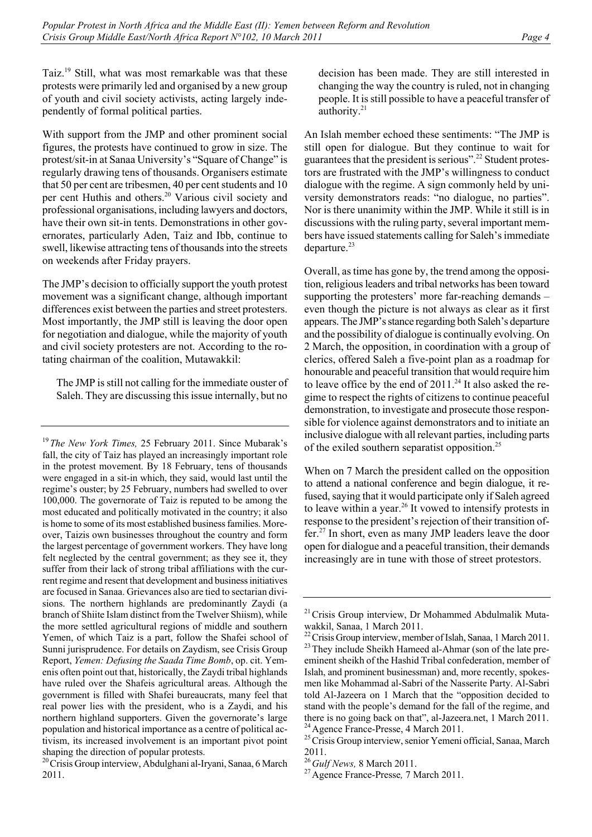Taiz.19 Still, what was most remarkable was that these protests were primarily led and organised by a new group of youth and civil society activists, acting largely independently of formal political parties.

With support from the JMP and other prominent social figures, the protests have continued to grow in size. The protest/sit-in at Sanaa University's "Square of Change" is regularly drawing tens of thousands. Organisers estimate that 50 per cent are tribesmen, 40 per cent students and 10 per cent Huthis and others.<sup>20</sup> Various civil society and professional organisations, including lawyers and doctors, have their own sit-in tents. Demonstrations in other governorates, particularly Aden, Taiz and Ibb, continue to swell, likewise attracting tens of thousands into the streets on weekends after Friday prayers.

The JMP's decision to officially support the youth protest movement was a significant change, although important differences exist between the parties and street protesters. Most importantly, the JMP still is leaving the door open for negotiation and dialogue, while the majority of youth and civil society protesters are not. According to the rotating chairman of the coalition, Mutawakkil:

The JMP is still not calling for the immediate ouster of Saleh. They are discussing this issue internally, but no

<sup>20</sup> Crisis Group interview, Abdulghani al-Iryani, Sanaa, 6 March 2011.

decision has been made. They are still interested in changing the way the country is ruled, not in changing people. It is still possible to have a peaceful transfer of authority.<sup>21</sup>

An Islah member echoed these sentiments: "The JMP is still open for dialogue. But they continue to wait for guarantees that the president is serious".22 Student protestors are frustrated with the JMP's willingness to conduct dialogue with the regime. A sign commonly held by university demonstrators reads: "no dialogue, no parties". Nor is there unanimity within the JMP. While it still is in discussions with the ruling party, several important members have issued statements calling for Saleh's immediate departure. $^{23}$ 

Overall, as time has gone by, the trend among the opposition, religious leaders and tribal networks has been toward supporting the protesters' more far-reaching demands – even though the picture is not always as clear as it first appears. The JMP's stance regarding both Saleh's departure and the possibility of dialogue is continually evolving. On 2 March, the opposition, in coordination with a group of clerics, offered Saleh a five-point plan as a roadmap for honourable and peaceful transition that would require him to leave office by the end of  $2011.^{24}$  It also asked the regime to respect the rights of citizens to continue peaceful demonstration, to investigate and prosecute those responsible for violence against demonstrators and to initiate an inclusive dialogue with all relevant parties, including parts of the exiled southern separatist opposition.25

When on 7 March the president called on the opposition to attend a national conference and begin dialogue, it refused, saying that it would participate only if Saleh agreed to leave within a year.<sup>26</sup> It vowed to intensify protests in response to the president's rejection of their transition offer.27 In short, even as many JMP leaders leave the door open for dialogue and a peaceful transition, their demands increasingly are in tune with those of street protestors.

<sup>19</sup>*The New York Times,* 25 February 2011. Since Mubarak's fall, the city of Taiz has played an increasingly important role in the protest movement. By 18 February, tens of thousands were engaged in a sit-in which, they said, would last until the regime's ouster; by 25 February, numbers had swelled to over 100,000. The governorate of Taiz is reputed to be among the most educated and politically motivated in the country; it also is home to some of its most established business families. Moreover, Taizis own businesses throughout the country and form the largest percentage of government workers. They have long felt neglected by the central government; as they see it, they suffer from their lack of strong tribal affiliations with the current regime and resent that development and business initiatives are focused in Sanaa. Grievances also are tied to sectarian divisions. The northern highlands are predominantly Zaydi (a branch of Shiite Islam distinct from the Twelver Shiism), while the more settled agricultural regions of middle and southern Yemen, of which Taiz is a part, follow the Shafei school of Sunni jurisprudence. For details on Zaydism, see Crisis Group Report, *Yemen: Defusing the Saada Time Bomb*, op. cit. Yemenis often point out that, historically, the Zaydi tribal highlands have ruled over the Shafeis agricultural areas. Although the government is filled with Shafei bureaucrats, many feel that real power lies with the president, who is a Zaydi, and his northern highland supporters. Given the governorate's large population and historical importance as a centre of political activism, its increased involvement is an important pivot point shaping the direction of popular protests.

<sup>&</sup>lt;sup>21</sup> Crisis Group interview, Dr Mohammed Abdulmalik Mutawakkil, Sanaa, 1 March 2011.<br><sup>22</sup> Crisis Group interview, member of Islah, Sanaa, 1 March 2011.

<sup>&</sup>lt;sup>23</sup>They include Sheikh Hameed al-Ahmar (son of the late preeminent sheikh of the Hashid Tribal confederation, member of Islah, and prominent businessman) and, more recently, spokesmen like Mohammad al-Sabri of the Nasserite Party. Al-Sabri told Al-Jazeera on 1 March that the "opposition decided to stand with the people's demand for the fall of the regime, and there is no going back on that", al-Jazeera.net, 1 March 2011.<br><sup>24</sup> Agence France-Presse, 4 March 2011.<br><sup>25</sup> Crisis Group interview, senior Yemeni official, Sanaa, March

<sup>2011.&</sup>lt;br><sup>26</sup> Gulf News, 8 March 2011.

<sup>&</sup>lt;sup>27</sup> Agence France-Presse, 7 March 2011.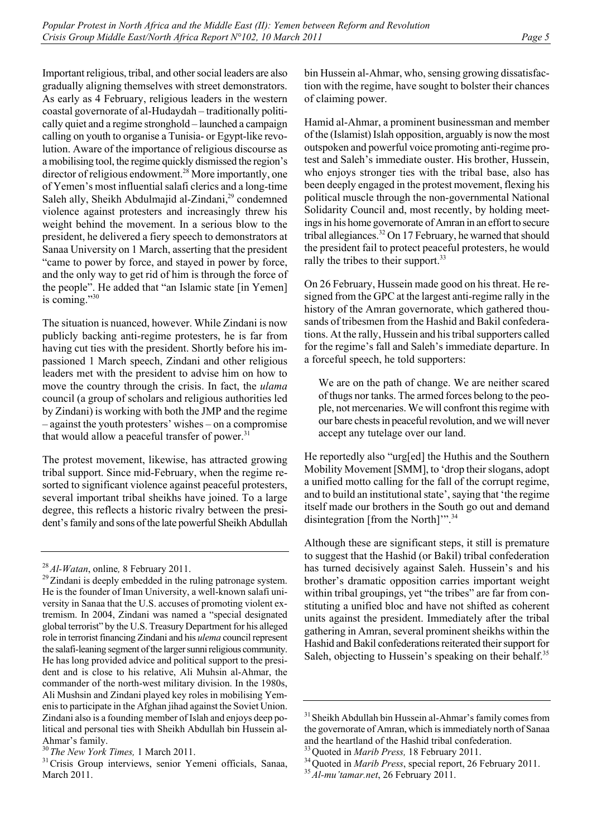Important religious, tribal, and other social leaders are also gradually aligning themselves with street demonstrators. As early as 4 February, religious leaders in the western coastal governorate of al-Hudaydah – traditionally politically quiet and a regime stronghold – launched a campaign calling on youth to organise a Tunisia- or Egypt-like revolution. Aware of the importance of religious discourse as a mobilising tool, the regime quickly dismissed the region's director of religious endowment.<sup>28</sup> More importantly, one of Yemen's most influential salafi clerics and a long-time Saleh ally, Sheikh Abdulmajid al-Zindani,<sup>29</sup> condemned violence against protesters and increasingly threw his weight behind the movement. In a serious blow to the president, he delivered a fiery speech to demonstrators at Sanaa University on 1 March, asserting that the president "came to power by force, and stayed in power by force, and the only way to get rid of him is through the force of the people". He added that "an Islamic state [in Yemen] is coming."30

The situation is nuanced, however. While Zindani is now publicly backing anti-regime protesters, he is far from having cut ties with the president. Shortly before his impassioned 1 March speech, Zindani and other religious leaders met with the president to advise him on how to move the country through the crisis. In fact, the *ulama* council (a group of scholars and religious authorities led by Zindani) is working with both the JMP and the regime – against the youth protesters' wishes – on a compromise that would allow a peaceful transfer of power. $31$ 

The protest movement, likewise, has attracted growing tribal support. Since mid-February, when the regime resorted to significant violence against peaceful protesters, several important tribal sheikhs have joined. To a large degree, this reflects a historic rivalry between the president's family and sons of the late powerful Sheikh Abdullah bin Hussein al-Ahmar, who, sensing growing dissatisfaction with the regime, have sought to bolster their chances of claiming power.

Hamid al-Ahmar, a prominent businessman and member of the (Islamist) Islah opposition, arguably is now the most outspoken and powerful voice promoting anti-regime protest and Saleh's immediate ouster. His brother, Hussein, who enjoys stronger ties with the tribal base, also has been deeply engaged in the protest movement, flexing his political muscle through the non-governmental National Solidarity Council and, most recently, by holding meetings in his home governorate of Amran in an effort to secure tribal allegiances.32 On 17 February, he warned that should the president fail to protect peaceful protesters, he would rally the tribes to their support.<sup>33</sup>

On 26 February, Hussein made good on his threat. He resigned from the GPC at the largest anti-regime rally in the history of the Amran governorate, which gathered thousands of tribesmen from the Hashid and Bakil confederations. At the rally, Hussein and his tribal supporters called for the regime's fall and Saleh's immediate departure. In a forceful speech, he told supporters:

We are on the path of change. We are neither scared of thugs nor tanks. The armed forces belong to the people, not mercenaries. We will confront this regime with our bare chests in peaceful revolution, and we will never accept any tutelage over our land.

He reportedly also "urg[ed] the Huthis and the Southern Mobility Movement [SMM], to 'drop their slogans, adopt a unified motto calling for the fall of the corrupt regime, and to build an institutional state', saying that 'the regime itself made our brothers in the South go out and demand disintegration [from the North]".<sup>34</sup>

Although these are significant steps, it still is premature to suggest that the Hashid (or Bakil) tribal confederation has turned decisively against Saleh. Hussein's and his brother's dramatic opposition carries important weight within tribal groupings, yet "the tribes" are far from constituting a unified bloc and have not shifted as coherent units against the president. Immediately after the tribal gathering in Amran, several prominent sheikhs within the Hashid and Bakil confederations reiterated their support for Saleh, objecting to Hussein's speaking on their behalf.<sup>35</sup>

<sup>&</sup>lt;sup>28</sup> *Al-Watan*, online, 8 February 2011.<br><sup>29</sup> Zindani is deeply embedded in the ruling patronage system. He is the founder of Iman University, a well-known salafi university in Sanaa that the U.S. accuses of promoting violent extremism. In 2004, Zindani was named a "special designated global terrorist" by the U.S. Treasury Department for his alleged role in terrorist financing Zindani and his *ulema* council represent the salafi-leaning segment of the larger sunni religious community. He has long provided advice and political support to the president and is close to his relative, Ali Muhsin al-Ahmar, the commander of the north-west military division. In the 1980s, Ali Mushsin and Zindani played key roles in mobilising Yemenis to participate in the Afghan jihad against the Soviet Union. Zindani also is a founding member of Islah and enjoys deep political and personal ties with Sheikh Abdullah bin Hussein al-Ahmar's family.<br> $^{30}$  The New York Times, 1 March 2011.

<sup>&</sup>lt;sup>31</sup> Crisis Group interviews, senior Yemeni officials, Sanaa, March 2011.

<sup>&</sup>lt;sup>31</sup> Sheikh Abdullah bin Hussein al-Ahmar's family comes from the governorate of Amran, which is immediately north of Sanaa

and the heartland of the Hashid tribal confederation.<br><sup>33</sup>Quoted in *Marib Press*, 18 February 2011.<br><sup>34</sup>Quoted in *Marib Press*, special report, 26 February 2011.<br><sup>35</sup>*Al-mu'tamar.net*, 26 February 2011.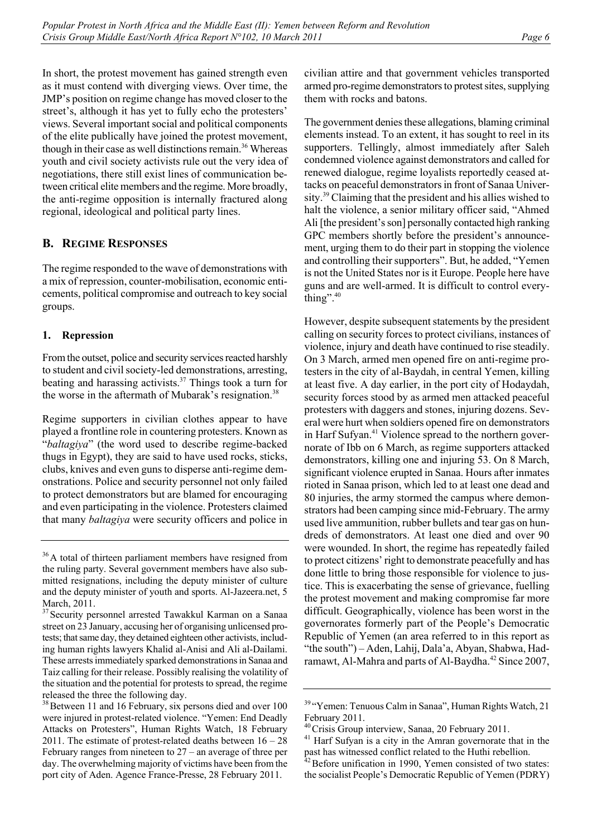In short, the protest movement has gained strength even as it must contend with diverging views. Over time, the JMP's position on regime change has moved closer to the street's, although it has yet to fully echo the protesters' views. Several important social and political components of the elite publically have joined the protest movement, though in their case as well distinctions remain.<sup>36</sup> Whereas youth and civil society activists rule out the very idea of negotiations, there still exist lines of communication between critical elite members and the regime. More broadly, the anti-regime opposition is internally fractured along regional, ideological and political party lines.

# **B. REGIME RESPONSES**

The regime responded to the wave of demonstrations with a mix of repression, counter-mobilisation, economic enticements, political compromise and outreach to key social groups.

## **1. Repression**

From the outset, police and security services reacted harshly to student and civil society-led demonstrations, arresting, beating and harassing activists.37 Things took a turn for the worse in the aftermath of Mubarak's resignation.<sup>38</sup>

Regime supporters in civilian clothes appear to have played a frontline role in countering protesters. Known as "*baltagiya*" (the word used to describe regime-backed thugs in Egypt), they are said to have used rocks, sticks, clubs, knives and even guns to disperse anti-regime demonstrations. Police and security personnel not only failed to protect demonstrators but are blamed for encouraging and even participating in the violence. Protesters claimed that many *baltagiya* were security officers and police in civilian attire and that government vehicles transported armed pro-regime demonstrators to protest sites, supplying them with rocks and batons.

The government denies these allegations, blaming criminal elements instead. To an extent, it has sought to reel in its supporters. Tellingly, almost immediately after Saleh condemned violence against demonstrators and called for renewed dialogue, regime loyalists reportedly ceased attacks on peaceful demonstrators in front of Sanaa University.39 Claiming that the president and his allies wished to halt the violence, a senior military officer said, "Ahmed Ali [the president's son] personally contacted high ranking GPC members shortly before the president's announcement, urging them to do their part in stopping the violence and controlling their supporters". But, he added, "Yemen is not the United States nor is it Europe. People here have guns and are well-armed. It is difficult to control everything". $40$ 

However, despite subsequent statements by the president calling on security forces to protect civilians, instances of violence, injury and death have continued to rise steadily. On 3 March, armed men opened fire on anti-regime protesters in the city of al-Baydah, in central Yemen, killing at least five. A day earlier, in the port city of Hodaydah, security forces stood by as armed men attacked peaceful protesters with daggers and stones, injuring dozens. Several were hurt when soldiers opened fire on demonstrators in Harf Sufyan.<sup>41</sup> Violence spread to the northern governorate of Ibb on 6 March, as regime supporters attacked demonstrators, killing one and injuring 53. On 8 March, significant violence erupted in Sanaa. Hours after inmates rioted in Sanaa prison, which led to at least one dead and 80 injuries, the army stormed the campus where demonstrators had been camping since mid-February. The army used live ammunition, rubber bullets and tear gas on hundreds of demonstrators. At least one died and over 90 were wounded. In short, the regime has repeatedly failed to protect citizens' right to demonstrate peacefully and has done little to bring those responsible for violence to justice. This is exacerbating the sense of grievance, fuelling the protest movement and making compromise far more difficult. Geographically, violence has been worst in the governorates formerly part of the People's Democratic Republic of Yemen (an area referred to in this report as "the south") – Aden, Lahij, Dala'a, Abyan, Shabwa, Hadramawt, Al-Mahra and parts of Al-Baydha.<sup>42</sup> Since 2007,

<sup>&</sup>lt;sup>36</sup>A total of thirteen parliament members have resigned from the ruling party. Several government members have also submitted resignations, including the deputy minister of culture and the deputy minister of youth and sports. Al-Jazeera.net, 5 March, 2011.

<sup>&</sup>lt;sup>37</sup> Security personnel arrested Tawakkul Karman on a Sanaa street on 23 January, accusing her of organising unlicensed protests; that same day, they detained eighteen other activists, including human rights lawyers Khalid al-Anisi and Ali al-Dailami. These arrests immediately sparked demonstrations in Sanaa and Taiz calling for their release. Possibly realising the volatility of the situation and the potential for protests to spread, the regime released the three the following day.

<sup>&</sup>lt;sup>38</sup> Between 11 and 16 February, six persons died and over 100 were injured in protest-related violence. "Yemen: End Deadly Attacks on Protesters", Human Rights Watch, 18 February 2011. The estimate of protest-related deaths between 16 – 28 February ranges from nineteen to 27 – an average of three per day. The overwhelming majority of victims have been from the port city of Aden. Agence France-Presse, 28 February 2011.

<sup>39</sup> "Yemen: Tenuous Calm in Sanaa", Human Rights Watch, 21 February 2011.

 $40^4$ Crisis Group interview, Sanaa, 20 February 2011.<br> $41$  Harf Sufyan is a city in the Amran governorate that in the past has witnessed conflict related to the Huthi rebellion.

 $42$  Before unification in 1990, Yemen consisted of two states: the socialist People's Democratic Republic of Yemen (PDRY)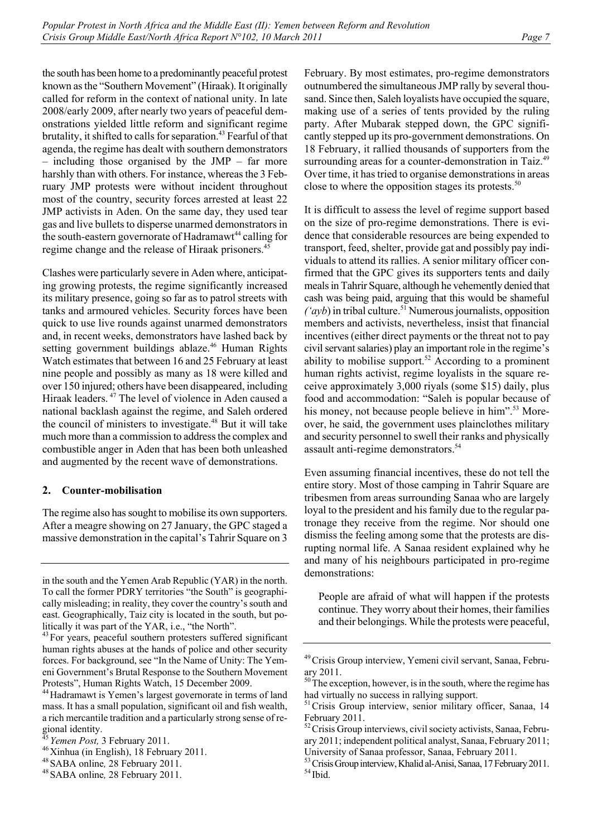the south has been home to a predominantly peaceful protest known as the "Southern Movement" (Hiraak). It originally called for reform in the context of national unity. In late 2008/early 2009, after nearly two years of peaceful demonstrations yielded little reform and significant regime brutality, it shifted to calls for separation.<sup>43</sup> Fearful of that agenda, the regime has dealt with southern demonstrators – including those organised by the JMP – far more harshly than with others. For instance, whereas the 3 February JMP protests were without incident throughout most of the country, security forces arrested at least 22 JMP activists in Aden. On the same day, they used tear gas and live bullets to disperse unarmed demonstrators in the south-eastern governorate of Hadramawt<sup>44</sup> calling for regime change and the release of Hiraak prisoners.<sup>45</sup>

Clashes were particularly severe in Aden where, anticipating growing protests, the regime significantly increased its military presence, going so far as to patrol streets with tanks and armoured vehicles. Security forces have been quick to use live rounds against unarmed demonstrators and, in recent weeks, demonstrators have lashed back by setting government buildings ablaze.<sup>46</sup> Human Rights Watch estimates that between 16 and 25 February at least nine people and possibly as many as 18 were killed and over 150 injured; others have been disappeared, including Hiraak leaders. 47 The level of violence in Aden caused a national backlash against the regime, and Saleh ordered the council of ministers to investigate.<sup>48</sup> But it will take much more than a commission to address the complex and combustible anger in Aden that has been both unleashed and augmented by the recent wave of demonstrations.

## **2. Counter-mobilisation**

The regime also has sought to mobilise its own supporters. After a meagre showing on 27 January, the GPC staged a massive demonstration in the capital's Tahrir Square on 3 February. By most estimates, pro-regime demonstrators outnumbered the simultaneous JMP rally by several thousand. Since then, Saleh loyalists have occupied the square, making use of a series of tents provided by the ruling party. After Mubarak stepped down, the GPC significantly stepped up its pro-government demonstrations. On 18 February, it rallied thousands of supporters from the surrounding areas for a counter-demonstration in Taiz.<sup>49</sup> Over time, it has tried to organise demonstrations in areas close to where the opposition stages its protests. $50$ 

It is difficult to assess the level of regime support based on the size of pro-regime demonstrations. There is evidence that considerable resources are being expended to transport, feed, shelter, provide gat and possibly pay individuals to attend its rallies. A senior military officer confirmed that the GPC gives its supporters tents and daily meals in Tahrir Square, although he vehemently denied that cash was being paid, arguing that this would be shameful  $({\alpha}yb)$  in tribal culture.<sup>51</sup> Numerous journalists, opposition members and activists, nevertheless, insist that financial incentives (either direct payments or the threat not to pay civil servant salaries) play an important role in the regime's ability to mobilise support.<sup>52</sup> According to a prominent human rights activist, regime loyalists in the square receive approximately 3,000 riyals (some \$15) daily, plus food and accommodation: "Saleh is popular because of his money, not because people believe in him".<sup>53</sup> Moreover, he said, the government uses plainclothes military and security personnel to swell their ranks and physically assault anti-regime demonstrators.<sup>54</sup>

Even assuming financial incentives, these do not tell the entire story. Most of those camping in Tahrir Square are tribesmen from areas surrounding Sanaa who are largely loyal to the president and his family due to the regular patronage they receive from the regime. Nor should one dismiss the feeling among some that the protests are disrupting normal life. A Sanaa resident explained why he and many of his neighbours participated in pro-regime demonstrations:

People are afraid of what will happen if the protests continue. They worry about their homes, their families and their belongings. While the protests were peaceful,

in the south and the Yemen Arab Republic (YAR) in the north. To call the former PDRY territories "the South" is geographically misleading; in reality, they cover the country's south and east. Geographically, Taiz city is located in the south, but politically it was part of the YAR, i.e., "the North".

<sup>&</sup>lt;sup>43</sup> For years, peaceful southern protesters suffered significant human rights abuses at the hands of police and other security forces. For background, see "In the Name of Unity: The Yemeni Government's Brutal Response to the Southern Movement Protests", Human Rights Watch, 15 December 2009. 44Hadramawt is Yemen's largest governorate in terms of land

mass. It has a small population, significant oil and fish wealth, a rich mercantile tradition and a particularly strong sense of regional identity.<br><sup>45</sup> *Yemen Post*, 3 February 2011.

<sup>&</sup>lt;sup>46</sup> Xinhua (in English), 18 February 2011.<br><sup>48</sup> SABA online, 28 February 2011.<br><sup>48</sup> SABA online, 28 February 2011.

<sup>49</sup>Crisis Group interview, Yemeni civil servant, Sanaa, February 2011.

 $50<sup>50</sup>$  The exception, however, is in the south, where the regime has had virtually no success in rallying support.

<sup>&</sup>lt;sup>51</sup> Crisis Group interview, senior military officer, Sanaa, 14 February 2011.

<sup>&</sup>lt;sup>52</sup> Crisis Group interviews, civil society activists, Sanaa, February 2011; independent political analyst, Sanaa, February 2011; University of Sanaa professor, Sanaa, February 2011.

<sup>&</sup>lt;sup>53</sup> Crisis Group interview, Khalid al-Anisi, Sanaa, 17 February 2011.<br><sup>54</sup> Ibid.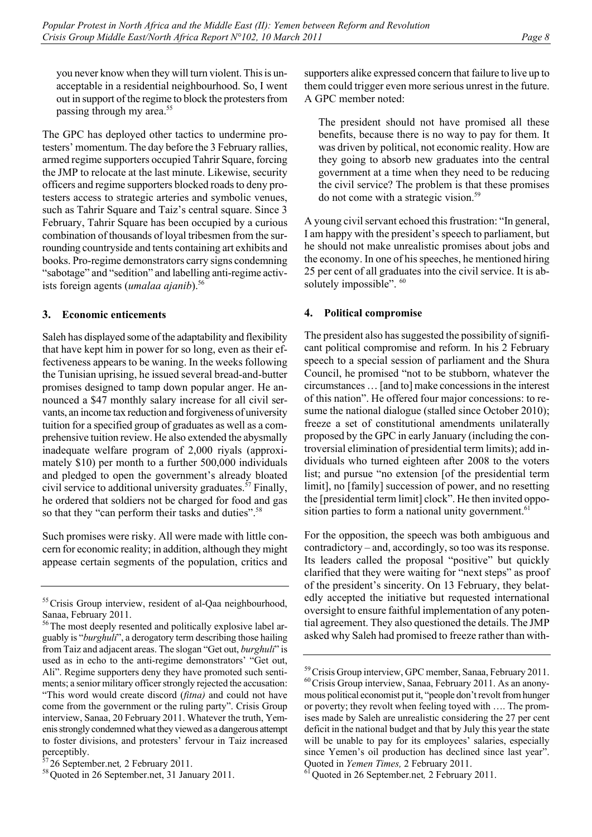you never know when they will turn violent. This is unacceptable in a residential neighbourhood. So, I went out in support of the regime to block the protesters from

The GPC has deployed other tactics to undermine protesters' momentum. The day before the 3 February rallies, armed regime supporters occupied Tahrir Square, forcing the JMP to relocate at the last minute. Likewise, security officers and regime supporters blocked roads to deny protesters access to strategic arteries and symbolic venues, such as Tahrir Square and Taiz's central square. Since 3 February, Tahrir Square has been occupied by a curious combination of thousands of loyal tribesmen from the surrounding countryside and tents containing art exhibits and books. Pro-regime demonstrators carry signs condemning "sabotage" and "sedition" and labelling anti-regime activists foreign agents (*umalaa ajanib*).<sup>56</sup>

## **3. Economic enticements**

passing through my area.<sup>55</sup>

Saleh has displayed some of the adaptability and flexibility that have kept him in power for so long, even as their effectiveness appears to be waning. In the weeks following the Tunisian uprising, he issued several bread-and-butter promises designed to tamp down popular anger. He announced a \$47 monthly salary increase for all civil servants, an income tax reduction and forgiveness of university tuition for a specified group of graduates as well as a comprehensive tuition review. He also extended the abysmally inadequate welfare program of 2,000 riyals (approximately \$10) per month to a further 500,000 individuals and pledged to open the government's already bloated civil service to additional university graduates.<sup>57</sup> Finally, he ordered that soldiers not be charged for food and gas so that they "can perform their tasks and duties".<sup>58</sup>

Such promises were risky. All were made with little concern for economic reality; in addition, although they might appease certain segments of the population, critics and supporters alike expressed concern that failure to live up to them could trigger even more serious unrest in the future. A GPC member noted:

The president should not have promised all these benefits, because there is no way to pay for them. It was driven by political, not economic reality. How are they going to absorb new graduates into the central government at a time when they need to be reducing the civil service? The problem is that these promises do not come with a strategic vision.<sup>59</sup>

A young civil servant echoed this frustration: "In general, I am happy with the president's speech to parliament, but he should not make unrealistic promises about jobs and the economy. In one of his speeches, he mentioned hiring 25 per cent of all graduates into the civil service. It is absolutely impossible". <sup>60</sup>

## **4. Political compromise**

The president also has suggested the possibility of significant political compromise and reform. In his 2 February speech to a special session of parliament and the Shura Council, he promised "not to be stubborn, whatever the circumstances … [and to] make concessions in the interest of this nation". He offered four major concessions: to resume the national dialogue (stalled since October 2010); freeze a set of constitutional amendments unilaterally proposed by the GPC in early January (including the controversial elimination of presidential term limits); add individuals who turned eighteen after 2008 to the voters list; and pursue "no extension [of the presidential term limit], no [family] succession of power, and no resetting the [presidential term limit] clock". He then invited opposition parties to form a national unity government.<sup>61</sup>

For the opposition, the speech was both ambiguous and contradictory – and, accordingly, so too was its response. Its leaders called the proposal "positive" but quickly clarified that they were waiting for "next steps" as proof of the president's sincerity. On 13 February, they belatedly accepted the initiative but requested international oversight to ensure faithful implementation of any potential agreement. They also questioned the details. The JMP asked why Saleh had promised to freeze rather than with-

<sup>&</sup>lt;sup>55</sup> Crisis Group interview, resident of al-Qaa neighbourhood, Sanaa, February 2011.

<sup>&</sup>lt;sup>56</sup>The most deeply resented and politically explosive label arguably is "*burghuli*", a derogatory term describing those hailing from Taiz and adjacent areas. The slogan "Get out, *burghuli*" is used as in echo to the anti-regime demonstrators' "Get out, Ali". Regime supporters deny they have promoted such sentiments; a senior military officer strongly rejected the accusation: "This word would create discord (*fitna)* and could not have come from the government or the ruling party". Crisis Group interview, Sanaa, 20 February 2011. Whatever the truth, Yemenis strongly condemned what they viewed as a dangerous attempt to foster divisions, and protesters' fervour in Taiz increased

perceptibly.<br><sup>57</sup>26 September.net, 2 February 2011.

<sup>&</sup>lt;sup>58</sup> Ouoted in 26 September.net, 31 January 2011.

 $59$  Crisis Group interview, GPC member, Sanaa, February 2011.<br><sup>60</sup> Crisis Group interview, Sanaa, February 2011. As an anonymous political economist put it, "people don't revolt from hunger or poverty; they revolt when feeling toyed with …. The promises made by Saleh are unrealistic considering the 27 per cent deficit in the national budget and that by July this year the state will be unable to pay for its employees' salaries, especially since Yemen's oil production has declined since last year".

Quoted in *Yemen Times*, 2 February 2011.<br><sup>61</sup> Quoted in 26 September.net, 2 February 2011.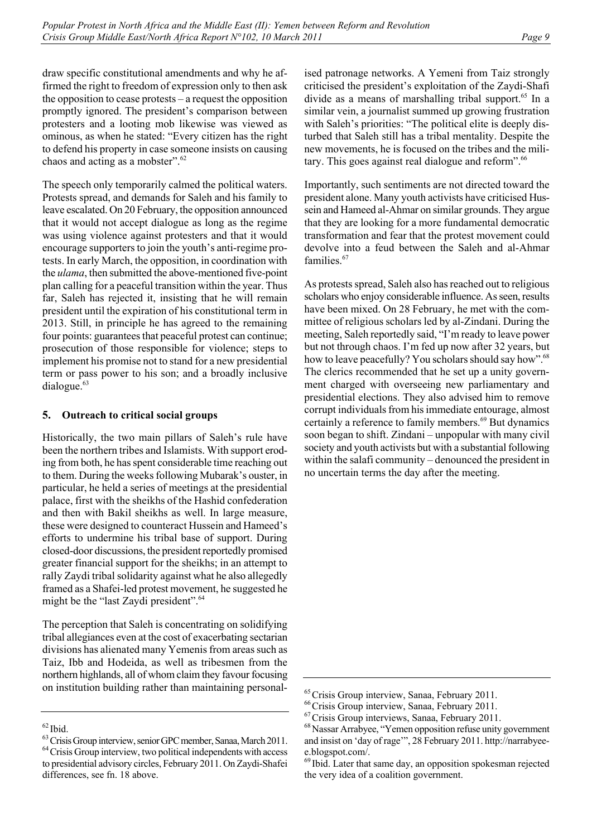draw specific constitutional amendments and why he affirmed the right to freedom of expression only to then ask the opposition to cease protests – a request the opposition promptly ignored. The president's comparison between protesters and a looting mob likewise was viewed as ominous, as when he stated: "Every citizen has the right to defend his property in case someone insists on causing chaos and acting as a mobster".<sup>62</sup>

The speech only temporarily calmed the political waters. Protests spread, and demands for Saleh and his family to leave escalated. On 20 February, the opposition announced that it would not accept dialogue as long as the regime was using violence against protesters and that it would encourage supporters to join the youth's anti-regime protests. In early March, the opposition, in coordination with the *ulama*, then submitted the above-mentioned five-point plan calling for a peaceful transition within the year. Thus far, Saleh has rejected it, insisting that he will remain president until the expiration of his constitutional term in 2013. Still, in principle he has agreed to the remaining four points: guarantees that peaceful protest can continue; prosecution of those responsible for violence; steps to implement his promise not to stand for a new presidential term or pass power to his son; and a broadly inclusive dialogue.<sup>63</sup>

## **5. Outreach to critical social groups**

Historically, the two main pillars of Saleh's rule have been the northern tribes and Islamists. With support eroding from both, he has spent considerable time reaching out to them. During the weeks following Mubarak's ouster, in particular, he held a series of meetings at the presidential palace, first with the sheikhs of the Hashid confederation and then with Bakil sheikhs as well. In large measure, these were designed to counteract Hussein and Hameed's efforts to undermine his tribal base of support. During closed-door discussions, the president reportedly promised greater financial support for the sheikhs; in an attempt to rally Zaydi tribal solidarity against what he also allegedly framed as a Shafei-led protest movement, he suggested he might be the "last Zaydi president".<sup>64</sup>

The perception that Saleh is concentrating on solidifying tribal allegiances even at the cost of exacerbating sectarian divisions has alienated many Yemenis from areas such as Taiz, Ibb and Hodeida, as well as tribesmen from the northern highlands, all of whom claim they favour focusing on institution building rather than maintaining personalised patronage networks. A Yemeni from Taiz strongly criticised the president's exploitation of the Zaydi-Shafi divide as a means of marshalling tribal support.<sup>65</sup> In a similar vein, a journalist summed up growing frustration with Saleh's priorities: "The political elite is deeply disturbed that Saleh still has a tribal mentality. Despite the new movements, he is focused on the tribes and the military. This goes against real dialogue and reform".66

Importantly, such sentiments are not directed toward the president alone. Many youth activists have criticised Hussein and Hameed al-Ahmar on similar grounds. They argue that they are looking for a more fundamental democratic transformation and fear that the protest movement could devolve into a feud between the Saleh and al-Ahmar families.<sup>67</sup>

As protests spread, Saleh also has reached out to religious scholars who enjoy considerable influence. As seen, results have been mixed. On 28 February, he met with the committee of religious scholars led by al-Zindani. During the meeting, Saleh reportedly said, "I'm ready to leave power but not through chaos. I'm fed up now after 32 years, but how to leave peacefully? You scholars should say how".<sup>68</sup> The clerics recommended that he set up a unity government charged with overseeing new parliamentary and presidential elections. They also advised him to remove corrupt individuals from his immediate entourage, almost certainly a reference to family members.<sup>69</sup> But dynamics soon began to shift. Zindani – unpopular with many civil society and youth activists but with a substantial following within the salafi community – denounced the president in no uncertain terms the day after the meeting.

 $63$  Crisis Group interview, senior GPC member, Sanaa, March 2011.<br> $64$  Crisis Group interview, two political independents with access to presidential advisory circles, February 2011. On Zaydi-Shafei differences, see fn. 18 above.

<sup>&</sup>lt;sup>65</sup>Crisis Group interview, Sanaa, February 2011.<br><sup>66</sup>Crisis Group interviews, Sanaa, February 2011.<br><sup>67</sup>Crisis Group interviews, Sanaa, February 2011.<br><sup>68</sup>Nassar Arrabyee, "Yemen opposition refuse unity government and insist on 'day of rage'", 28 February 2011. http://narrabyeee.blogspot.com/.

<sup>&</sup>lt;sup>69</sup> Ibid. Later that same day, an opposition spokesman rejected the very idea of a coalition government.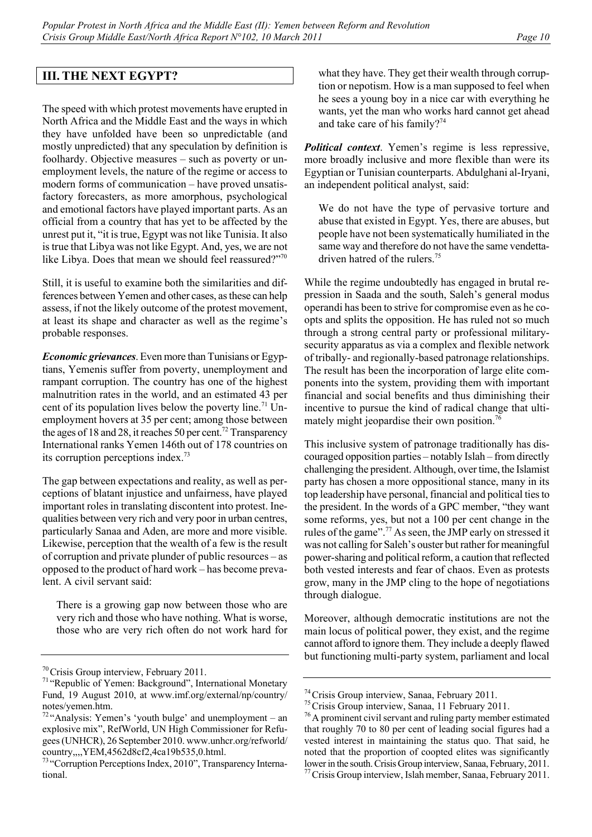# **III. THE NEXT EGYPT?**

The speed with which protest movements have erupted in North Africa and the Middle East and the ways in which they have unfolded have been so unpredictable (and mostly unpredicted) that any speculation by definition is foolhardy. Objective measures – such as poverty or unemployment levels, the nature of the regime or access to modern forms of communication – have proved unsatisfactory forecasters, as more amorphous, psychological and emotional factors have played important parts. As an official from a country that has yet to be affected by the unrest put it, "it is true, Egypt was not like Tunisia. It also is true that Libya was not like Egypt. And, yes, we are not like Libya. Does that mean we should feel reassured?"<sup>70</sup>

Still, it is useful to examine both the similarities and differences between Yemen and other cases, as these can help assess, if not the likely outcome of the protest movement, at least its shape and character as well as the regime's probable responses.

*Economic grievances*. Even more than Tunisians or Egyptians, Yemenis suffer from poverty, unemployment and rampant corruption. The country has one of the highest malnutrition rates in the world, and an estimated 43 per cent of its population lives below the poverty line.<sup>71</sup> Unemployment hovers at 35 per cent; among those between the ages of 18 and 28, it reaches 50 per cent.<sup>72</sup> Transparency International ranks Yemen 146th out of 178 countries on its corruption perceptions index.73

The gap between expectations and reality, as well as perceptions of blatant injustice and unfairness, have played important roles in translating discontent into protest. Inequalities between very rich and very poor in urban centres, particularly Sanaa and Aden, are more and more visible. Likewise, perception that the wealth of a few is the result of corruption and private plunder of public resources – as opposed to the product of hard work – has become prevalent. A civil servant said:

There is a growing gap now between those who are very rich and those who have nothing. What is worse, those who are very rich often do not work hard for what they have. They get their wealth through corruption or nepotism. How is a man supposed to feel when he sees a young boy in a nice car with everything he wants, yet the man who works hard cannot get ahead and take care of his family?<sup>74</sup>

*Political context*. Yemen's regime is less repressive, more broadly inclusive and more flexible than were its Egyptian or Tunisian counterparts. Abdulghani al-Iryani, an independent political analyst, said:

We do not have the type of pervasive torture and abuse that existed in Egypt. Yes, there are abuses, but people have not been systematically humiliated in the same way and therefore do not have the same vendettadriven hatred of the rulers.<sup>75</sup>

While the regime undoubtedly has engaged in brutal repression in Saada and the south, Saleh's general modus operandi has been to strive for compromise even as he coopts and splits the opposition. He has ruled not so much through a strong central party or professional militarysecurity apparatus as via a complex and flexible network of tribally- and regionally-based patronage relationships. The result has been the incorporation of large elite components into the system, providing them with important financial and social benefits and thus diminishing their incentive to pursue the kind of radical change that ultimately might jeopardise their own position.<sup>76</sup>

This inclusive system of patronage traditionally has discouraged opposition parties – notably Islah – from directly challenging the president. Although, over time, the Islamist party has chosen a more oppositional stance, many in its top leadership have personal, financial and political ties to the president. In the words of a GPC member, "they want some reforms, yes, but not a 100 per cent change in the rules of the game".77 As seen, the JMP early on stressed it was not calling for Saleh's ouster but rather for meaningful power-sharing and political reform, a caution that reflected both vested interests and fear of chaos. Even as protests grow, many in the JMP cling to the hope of negotiations through dialogue.

Moreover, although democratic institutions are not the main locus of political power, they exist, and the regime cannot afford to ignore them. They include a deeply flawed but functioning multi-party system, parliament and local

<sup>&</sup>lt;sup>70</sup>Crisis Group interview, February 2011.<br><sup>71</sup> "Republic of Yemen: Background", International Monetary Fund, 19 August 2010, at www.imf.org/external/np/country/ notes/yemen.htm.

 $72$ "Analysis: Yemen's 'youth bulge' and unemployment – an explosive mix", RefWorld, UN High Commissioner for Refugees (UNHCR), 26 September 2010. www.unhcr.org/refworld/ country,,,,YEM,4562d8cf2,4ca19b535,0.html.

<sup>&</sup>lt;sup>73</sup> "Corruption Perceptions Index, 2010", Transparency International.

<sup>&</sup>lt;sup>74</sup>Crisis Group interview, Sanaa, February 2011.<br><sup>75</sup>Crisis Group interview, Sanaa, 11 February 2011.<br><sup>76</sup>A prominent civil servant and ruling party member estimated that roughly 70 to 80 per cent of leading social figures had a vested interest in maintaining the status quo. That said, he noted that the proportion of coopted elites was significantly lower in the south. Crisis Group interview, Sanaa, February, 2011.

<sup>77</sup>Crisis Group interview, Islah member, Sanaa, February 2011.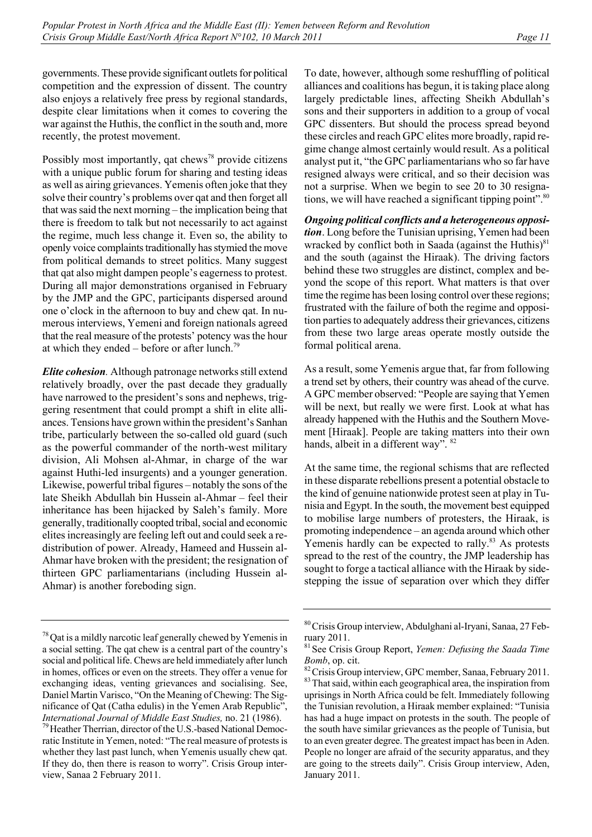governments. These provide significant outlets for political competition and the expression of dissent. The country also enjoys a relatively free press by regional standards, despite clear limitations when it comes to covering the war against the Huthis, the conflict in the south and, more recently, the protest movement.

Possibly most importantly, qat chews<sup>78</sup> provide citizens with a unique public forum for sharing and testing ideas as well as airing grievances. Yemenis often joke that they solve their country's problems over qat and then forget all that was said the next morning – the implication being that there is freedom to talk but not necessarily to act against the regime, much less change it. Even so, the ability to openly voice complaints traditionally has stymied the move from political demands to street politics. Many suggest that qat also might dampen people's eagerness to protest. During all major demonstrations organised in February by the JMP and the GPC, participants dispersed around one o'clock in the afternoon to buy and chew qat. In numerous interviews, Yemeni and foreign nationals agreed that the real measure of the protests' potency was the hour at which they ended – before or after lunch.<sup>79</sup>

*Elite cohesion.* Although patronage networks still extend relatively broadly, over the past decade they gradually have narrowed to the president's sons and nephews, triggering resentment that could prompt a shift in elite alliances. Tensions have grown within the president's Sanhan tribe, particularly between the so-called old guard (such as the powerful commander of the north-west military division, Ali Mohsen al-Ahmar, in charge of the war against Huthi-led insurgents) and a younger generation. Likewise, powerful tribal figures – notably the sons of the late Sheikh Abdullah bin Hussein al-Ahmar – feel their inheritance has been hijacked by Saleh's family. More generally, traditionally coopted tribal, social and economic elites increasingly are feeling left out and could seek a redistribution of power. Already, Hameed and Hussein al-Ahmar have broken with the president; the resignation of thirteen GPC parliamentarians (including Hussein al-Ahmar) is another foreboding sign.

To date, however, although some reshuffling of political alliances and coalitions has begun, it is taking place along largely predictable lines, affecting Sheikh Abdullah's sons and their supporters in addition to a group of vocal GPC dissenters. But should the process spread beyond these circles and reach GPC elites more broadly, rapid regime change almost certainly would result. As a political analyst put it, "the GPC parliamentarians who so far have resigned always were critical, and so their decision was not a surprise. When we begin to see 20 to 30 resignations, we will have reached a significant tipping point".<sup>80</sup>

*Ongoing political conflicts and a heterogeneous opposition*. Long before the Tunisian uprising, Yemen had been wracked by conflict both in Saada (against the Huthis) $81$ and the south (against the Hiraak). The driving factors behind these two struggles are distinct, complex and beyond the scope of this report. What matters is that over time the regime has been losing control over these regions; frustrated with the failure of both the regime and opposition parties to adequately address their grievances, citizens from these two large areas operate mostly outside the formal political arena.

As a result, some Yemenis argue that, far from following a trend set by others, their country was ahead of the curve. A GPC member observed: "People are saying that Yemen will be next, but really we were first. Look at what has already happened with the Huthis and the Southern Movement [Hiraak]. People are taking matters into their own hands, albeit in a different way". <sup>82</sup>

At the same time, the regional schisms that are reflected in these disparate rebellions present a potential obstacle to the kind of genuine nationwide protest seen at play in Tunisia and Egypt. In the south, the movement best equipped to mobilise large numbers of protesters, the Hiraak, is promoting independence – an agenda around which other Yemenis hardly can be expected to rally.<sup>83</sup> As protests spread to the rest of the country, the JMP leadership has sought to forge a tactical alliance with the Hiraak by sidestepping the issue of separation over which they differ

 $78$  Qat is a mildly narcotic leaf generally chewed by Yemenis in a social setting. The qat chew is a central part of the country's social and political life. Chews are held immediately after lunch in homes, offices or even on the streets. They offer a venue for exchanging ideas, venting grievances and socialising. See, Daniel Martin Varisco, "On the Meaning of Chewing: The Significance of Qat (Catha edulis) in the Yemen Arab Republic", *International Journal of Middle East Studies, no.* 21 (1986).<br><sup>79</sup> Heather Therrian, director of the U.S.-based National Democ-

ratic Institute in Yemen, noted: "The real measure of protests is whether they last past lunch, when Yemenis usually chew qat. If they do, then there is reason to worry". Crisis Group interview, Sanaa 2 February 2011.

<sup>80</sup>Crisis Group interview, Abdulghani al-Iryani, Sanaa, 27 February 2011.

<sup>81</sup>See Crisis Group Report, *Yemen: Defusing the Saada Time* 

*Bomb*, op. cit. <sup>82</sup>Crisis Group interview, GPC member, Sanaa, February 2011. <sup>83</sup>That said, within each geographical area, the inspiration from uprisings in North Africa could be felt. Immediately following the Tunisian revolution, a Hiraak member explained: "Tunisia has had a huge impact on protests in the south. The people of the south have similar grievances as the people of Tunisia, but to an even greater degree. The greatest impact has been in Aden. People no longer are afraid of the security apparatus, and they are going to the streets daily". Crisis Group interview, Aden, January 2011.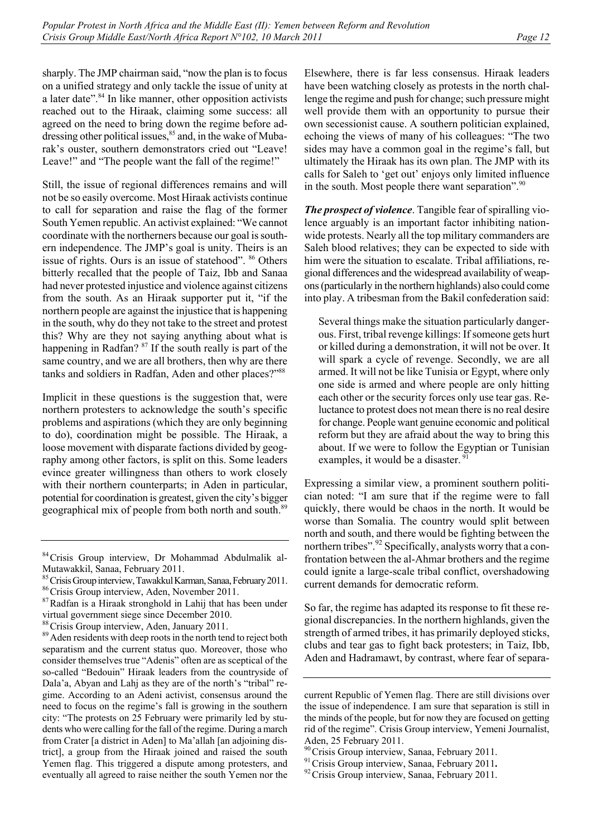sharply. The JMP chairman said, "now the plan is to focus on a unified strategy and only tackle the issue of unity at a later date".<sup>84</sup> In like manner, other opposition activists reached out to the Hiraak, claiming some success: all agreed on the need to bring down the regime before addressing other political issues, $85$  and, in the wake of Mubarak's ouster, southern demonstrators cried out "Leave! Leave!" and "The people want the fall of the regime!"

Still, the issue of regional differences remains and will not be so easily overcome. Most Hiraak activists continue to call for separation and raise the flag of the former South Yemen republic. An activist explained: "We cannot coordinate with the northerners because our goal is southern independence. The JMP's goal is unity. Theirs is an issue of rights. Ours is an issue of statehood". <sup>86</sup> Others bitterly recalled that the people of Taiz, Ibb and Sanaa had never protested injustice and violence against citizens from the south. As an Hiraak supporter put it, "if the northern people are against the injustice that is happening in the south, why do they not take to the street and protest this? Why are they not saying anything about what is happening in Radfan? <sup>87</sup> If the south really is part of the same country, and we are all brothers, then why are there tanks and soldiers in Radfan, Aden and other places?"<sup>88</sup>

Implicit in these questions is the suggestion that, were northern protesters to acknowledge the south's specific problems and aspirations (which they are only beginning to do), coordination might be possible. The Hiraak, a loose movement with disparate factions divided by geography among other factors, is split on this. Some leaders evince greater willingness than others to work closely with their northern counterparts; in Aden in particular, potential for coordination is greatest, given the city's bigger geographical mix of people from both north and south.<sup>89</sup>

Elsewhere, there is far less consensus. Hiraak leaders have been watching closely as protests in the north challenge the regime and push for change; such pressure might well provide them with an opportunity to pursue their own secessionist cause. A southern politician explained, echoing the views of many of his colleagues: "The two sides may have a common goal in the regime's fall, but ultimately the Hiraak has its own plan. The JMP with its calls for Saleh to 'get out' enjoys only limited influence in the south. Most people there want separation".<sup>90</sup>

*The prospect of violence*. Tangible fear of spiralling violence arguably is an important factor inhibiting nationwide protests. Nearly all the top military commanders are Saleh blood relatives; they can be expected to side with him were the situation to escalate. Tribal affiliations, regional differences and the widespread availability of weapons (particularly in the northern highlands) also could come into play. A tribesman from the Bakil confederation said:

Several things make the situation particularly dangerous. First, tribal revenge killings: If someone gets hurt or killed during a demonstration, it will not be over. It will spark a cycle of revenge. Secondly, we are all armed. It will not be like Tunisia or Egypt, where only one side is armed and where people are only hitting each other or the security forces only use tear gas. Reluctance to protest does not mean there is no real desire for change. People want genuine economic and political reform but they are afraid about the way to bring this about. If we were to follow the Egyptian or Tunisian examples, it would be a disaster. <sup>91</sup>

Expressing a similar view, a prominent southern politician noted: "I am sure that if the regime were to fall quickly, there would be chaos in the north. It would be worse than Somalia. The country would split between north and south, and there would be fighting between the northern tribes".<sup>92</sup> Specifically, analysts worry that a confrontation between the al-Ahmar brothers and the regime could ignite a large-scale tribal conflict, overshadowing current demands for democratic reform.

So far, the regime has adapted its response to fit these regional discrepancies. In the northern highlands, given the strength of armed tribes, it has primarily deployed sticks, clubs and tear gas to fight back protesters; in Taiz, Ibb, Aden and Hadramawt, by contrast, where fear of separa-

<sup>&</sup>lt;sup>84</sup> Crisis Group interview, Dr Mohammad Abdulmalik al-Mutawakkil, Sanaa, February 2011.

<sup>&</sup>lt;sup>85</sup>Crisis Group interview, Tawakkul Karman, Sanaa, February 2011.<br><sup>86</sup>Crisis Group interview, Aden, November 2011.<br><sup>87</sup>Radfan is a Hiraak stronghold in Lahij that has been under

virtual government siege since December 2010.<br><sup>88</sup> Crisis Group interview, Aden, January 2011.

<sup>&</sup>lt;sup>89</sup> Aden residents with deep roots in the north tend to reject both separatism and the current status quo. Moreover, those who consider themselves true "Adenis" often are as sceptical of the so-called "Bedouin" Hiraak leaders from the countryside of Dala'a, Abyan and Lahj as they are of the north's "tribal" regime. According to an Adeni activist, consensus around the need to focus on the regime's fall is growing in the southern city: "The protests on 25 February were primarily led by students who were calling for the fall of the regime. During a march from Crater [a district in Aden] to Ma'allah [an adjoining district], a group from the Hiraak joined and raised the south Yemen flag. This triggered a dispute among protesters, and eventually all agreed to raise neither the south Yemen nor the

current Republic of Yemen flag. There are still divisions over the issue of independence. I am sure that separation is still in the minds of the people, but for now they are focused on getting rid of the regime". Crisis Group interview, Yemeni Journalist,

Aden, 25 February 2011.<br><sup>90</sup> Crisis Group interview, Sanaa, February 2011.

<sup>&</sup>lt;sup>91</sup> Crisis Group interview, Sanaa, February 2011.<br><sup>92</sup> Crisis Group interview, Sanaa, February 2011.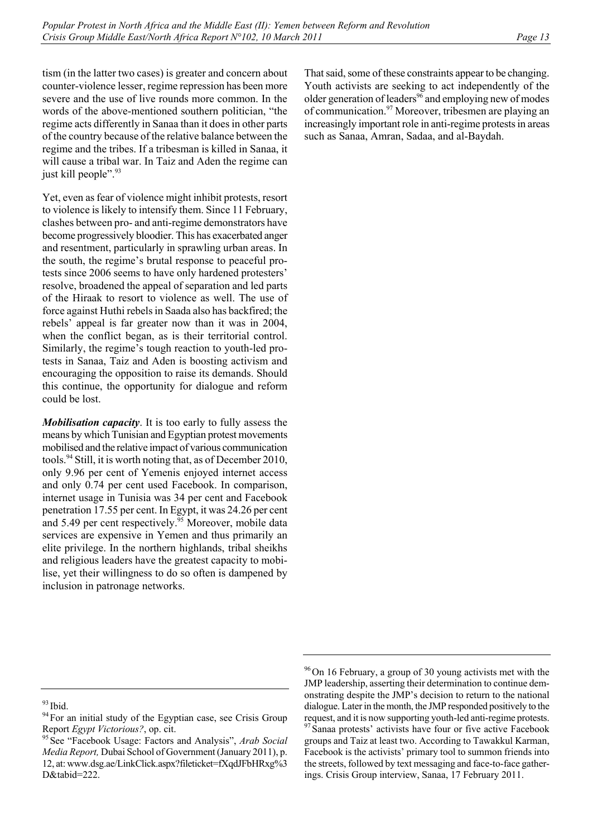tism (in the latter two cases) is greater and concern about counter-violence lesser, regime repression has been more severe and the use of live rounds more common. In the words of the above-mentioned southern politician, "the regime acts differently in Sanaa than it does in other parts of the country because of the relative balance between the regime and the tribes. If a tribesman is killed in Sanaa, it will cause a tribal war. In Taiz and Aden the regime can just kill people".<sup>93</sup>

Yet, even as fear of violence might inhibit protests, resort to violence is likely to intensify them. Since 11 February, clashes between pro- and anti-regime demonstrators have become progressively bloodier. This has exacerbated anger and resentment, particularly in sprawling urban areas. In the south, the regime's brutal response to peaceful protests since 2006 seems to have only hardened protesters' resolve, broadened the appeal of separation and led parts of the Hiraak to resort to violence as well. The use of force against Huthi rebels in Saada also has backfired; the rebels' appeal is far greater now than it was in 2004, when the conflict began, as is their territorial control. Similarly, the regime's tough reaction to youth-led protests in Sanaa, Taiz and Aden is boosting activism and encouraging the opposition to raise its demands. Should this continue, the opportunity for dialogue and reform could be lost.

*Mobilisation capacity*. It is too early to fully assess the means by which Tunisian and Egyptian protest movements mobilised and the relative impact of various communication tools.<sup>94</sup> Still, it is worth noting that, as of December 2010, only 9.96 per cent of Yemenis enjoyed internet access and only 0.74 per cent used Facebook. In comparison, internet usage in Tunisia was 34 per cent and Facebook penetration 17.55 per cent. In Egypt, it was 24.26 per cent and 5.49 per cent respectively. $95$  Moreover, mobile data services are expensive in Yemen and thus primarily an elite privilege. In the northern highlands, tribal sheikhs and religious leaders have the greatest capacity to mobilise, yet their willingness to do so often is dampened by inclusion in patronage networks.

That said, some of these constraints appear to be changing. Youth activists are seeking to act independently of the older generation of leaders<sup>96</sup> and employing new of modes of communication.97 Moreover, tribesmen are playing an increasingly important role in anti-regime protests in areas such as Sanaa, Amran, Sadaa, and al-Baydah.

<sup>&</sup>lt;sup>93</sup> Ibid.<br><sup>94</sup> For an initial study of the Egyptian case, see Crisis Group<br>Report *Egypt Victorious?*, op. cit.

<sup>&</sup>lt;sup>95</sup> See "Facebook Usage: Factors and Analysis", *Arab Social Media Report,* Dubai School of Government (January 2011), p. 12, at: www.dsg.ae/LinkClick.aspx?fileticket=fXqdJFbHRxg%3 D&tabid=222.

<sup>&</sup>lt;sup>96</sup>On 16 February, a group of 30 young activists met with the JMP leadership, asserting their determination to continue demonstrating despite the JMP's decision to return to the national dialogue. Later in the month, the JMP responded positively to the request, and it is now supporting youth-led anti-regime protests.  $97$  Sanaa protests' activists have four or five active Facebook groups and Taiz at least two. According to Tawakkul Karman, Facebook is the activists' primary tool to summon friends into the streets, followed by text messaging and face-to-face gatherings. Crisis Group interview, Sanaa, 17 February 2011.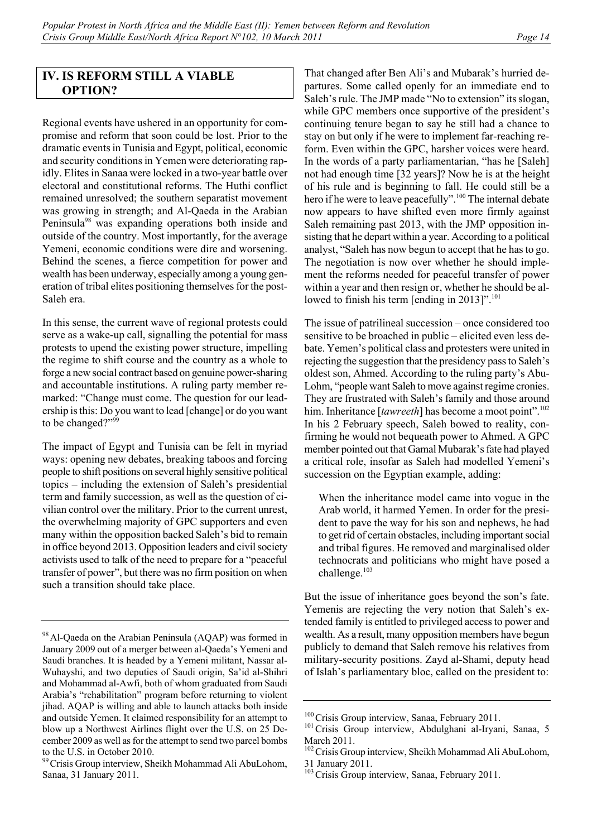# **IV. IS REFORM STILL A VIABLE OPTION?**

Regional events have ushered in an opportunity for compromise and reform that soon could be lost. Prior to the dramatic events in Tunisia and Egypt, political, economic and security conditions in Yemen were deteriorating rapidly. Elites in Sanaa were locked in a two-year battle over electoral and constitutional reforms. The Huthi conflict remained unresolved; the southern separatist movement was growing in strength; and Al-Qaeda in the Arabian Peninsula98 was expanding operations both inside and outside of the country. Most importantly, for the average Yemeni, economic conditions were dire and worsening. Behind the scenes, a fierce competition for power and wealth has been underway, especially among a young generation of tribal elites positioning themselves for the post-Saleh era.

In this sense, the current wave of regional protests could serve as a wake-up call, signalling the potential for mass protests to upend the existing power structure, impelling the regime to shift course and the country as a whole to forge a new social contract based on genuine power-sharing and accountable institutions. A ruling party member remarked: "Change must come. The question for our leadership is this: Do you want to lead [change] or do you want to be changed?"99

The impact of Egypt and Tunisia can be felt in myriad ways: opening new debates, breaking taboos and forcing people to shift positions on several highly sensitive political topics – including the extension of Saleh's presidential term and family succession, as well as the question of civilian control over the military. Prior to the current unrest, the overwhelming majority of GPC supporters and even many within the opposition backed Saleh's bid to remain in office beyond 2013. Opposition leaders and civil society activists used to talk of the need to prepare for a "peaceful transfer of power", but there was no firm position on when such a transition should take place.

That changed after Ben Ali's and Mubarak's hurried departures. Some called openly for an immediate end to Saleh's rule. The JMP made "No to extension" its slogan, while GPC members once supportive of the president's continuing tenure began to say he still had a chance to stay on but only if he were to implement far-reaching reform. Even within the GPC, harsher voices were heard. In the words of a party parliamentarian, "has he [Saleh] not had enough time [32 years]? Now he is at the height of his rule and is beginning to fall. He could still be a hero if he were to leave peacefully".<sup>100</sup> The internal debate now appears to have shifted even more firmly against Saleh remaining past 2013, with the JMP opposition insisting that he depart within a year. According to a political analyst, "Saleh has now begun to accept that he has to go. The negotiation is now over whether he should implement the reforms needed for peaceful transfer of power within a year and then resign or, whether he should be allowed to finish his term [ending in 2013]".<sup>101</sup>

The issue of patrilineal succession – once considered too sensitive to be broached in public – elicited even less debate. Yemen's political class and protesters were united in rejecting the suggestion that the presidency pass to Saleh's oldest son, Ahmed. According to the ruling party's Abu-Lohm, "people want Saleh to move against regime cronies. They are frustrated with Saleh's family and those around him. Inheritance [tawreeth] has become a moot point".<sup>102</sup> In his 2 February speech, Saleh bowed to reality, confirming he would not bequeath power to Ahmed. A GPC member pointed out that Gamal Mubarak's fate had played a critical role, insofar as Saleh had modelled Yemeni's succession on the Egyptian example, adding:

When the inheritance model came into vogue in the Arab world, it harmed Yemen. In order for the president to pave the way for his son and nephews, he had to get rid of certain obstacles, including important social and tribal figures. He removed and marginalised older technocrats and politicians who might have posed a challenge.<sup>103</sup>

But the issue of inheritance goes beyond the son's fate. Yemenis are rejecting the very notion that Saleh's extended family is entitled to privileged access to power and wealth. As a result, many opposition members have begun publicly to demand that Saleh remove his relatives from military-security positions. Zayd al-Shami, deputy head of Islah's parliamentary bloc, called on the president to:

<sup>&</sup>lt;sup>98</sup> Al-Qaeda on the Arabian Peninsula (AQAP) was formed in January 2009 out of a merger between al-Qaeda's Yemeni and Saudi branches. It is headed by a Yemeni militant, Nassar al-Wuhayshi, and two deputies of Saudi origin, Sa'id al-Shihri and Mohammad al-Awfi, both of whom graduated from Saudi Arabia's "rehabilitation" program before returning to violent jihad. AQAP is willing and able to launch attacks both inside and outside Yemen. It claimed responsibility for an attempt to blow up a Northwest Airlines flight over the U.S. on 25 December 2009 as well as for the attempt to send two parcel bombs to the U.S. in October 2010.

<sup>&</sup>lt;sup>99</sup> Crisis Group interview, Sheikh Mohammad Ali AbuLohom, Sanaa, 31 January 2011.

<sup>&</sup>lt;sup>100</sup>Crisis Group interview, Sanaa, February 2011.<br><sup>101</sup>Crisis Group interview, Abdulghani al-Iryani, Sanaa, 5 March 2011.

<sup>&</sup>lt;sup>102</sup> Crisis Group interview, Sheikh Mohammad Ali AbuLohom, 31 January 2011.

<sup>&</sup>lt;sup>103</sup> Crisis Group interview, Sanaa, February 2011.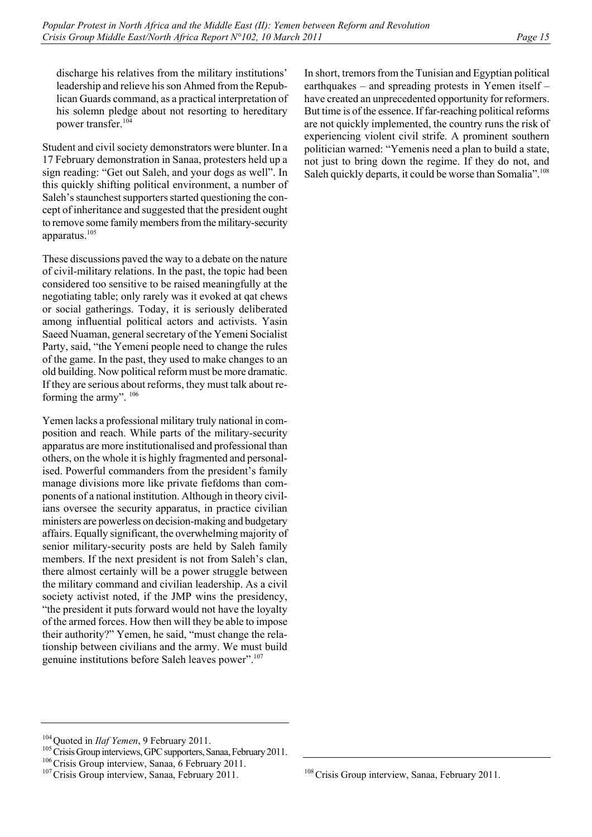discharge his relatives from the military institutions' leadership and relieve his son Ahmed from the Republican Guards command, as a practical interpretation of his solemn pledge about not resorting to hereditary power transfer.104

Student and civil society demonstrators were blunter. In a 17 February demonstration in Sanaa, protesters held up a sign reading: "Get out Saleh, and your dogs as well". In this quickly shifting political environment, a number of Saleh's staunchest supporters started questioning the concept of inheritance and suggested that the president ought to remove some family members from the military-security apparatus.105

These discussions paved the way to a debate on the nature of civil-military relations. In the past, the topic had been considered too sensitive to be raised meaningfully at the negotiating table; only rarely was it evoked at qat chews or social gatherings. Today, it is seriously deliberated among influential political actors and activists. Yasin Saeed Nuaman, general secretary of the Yemeni Socialist Party, said, "the Yemeni people need to change the rules of the game. In the past, they used to make changes to an old building. Now political reform must be more dramatic. If they are serious about reforms, they must talk about reforming the army".  $106$ 

Yemen lacks a professional military truly national in composition and reach. While parts of the military-security apparatus are more institutionalised and professional than others, on the whole it is highly fragmented and personalised. Powerful commanders from the president's family manage divisions more like private fiefdoms than components of a national institution. Although in theory civilians oversee the security apparatus, in practice civilian ministers are powerless on decision-making and budgetary affairs. Equally significant, the overwhelming majority of senior military-security posts are held by Saleh family members. If the next president is not from Saleh's clan, there almost certainly will be a power struggle between the military command and civilian leadership. As a civil society activist noted, if the JMP wins the presidency, "the president it puts forward would not have the loyalty of the armed forces. How then will they be able to impose their authority?" Yemen, he said, "must change the relationship between civilians and the army. We must build genuine institutions before Saleh leaves power".107

In short, tremors from the Tunisian and Egyptian political earthquakes – and spreading protests in Yemen itself – have created an unprecedented opportunity for reformers. But time is of the essence. If far-reaching political reforms are not quickly implemented, the country runs the risk of experiencing violent civil strife. A prominent southern politician warned: "Yemenis need a plan to build a state, not just to bring down the regime. If they do not, and Saleh quickly departs, it could be worse than Somalia".<sup>108</sup>

<sup>&</sup>lt;sup>104</sup> Quoted in *Ilaf Yemen*, 9 February 2011.<br><sup>105</sup> Crisis Group interviews, GPC supporters, Sanaa, February 2011.<br><sup>106</sup> Crisis Group interview, Sanaa, February 2011.<br><sup>107</sup> Crisis Group interview, Sanaa, February 2011.

<sup>&</sup>lt;sup>108</sup> Crisis Group interview, Sanaa, February 2011.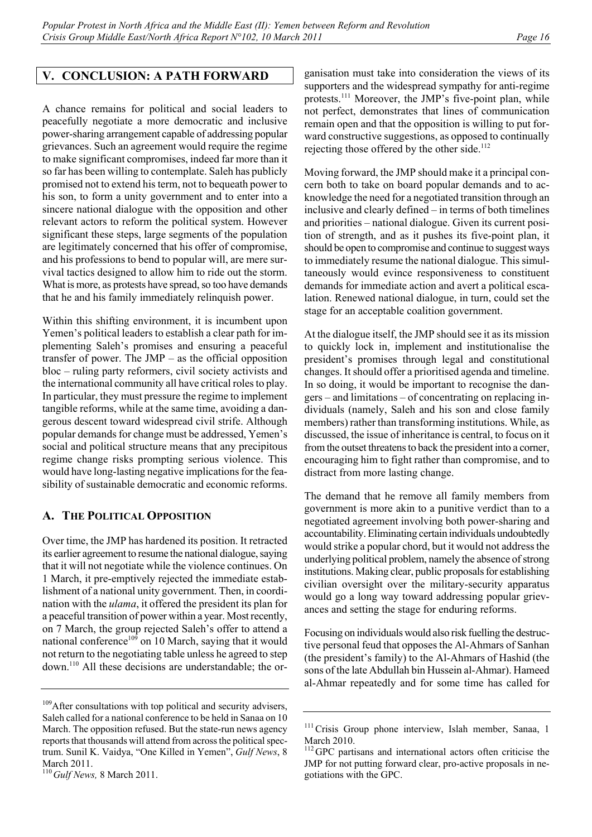# **V. CONCLUSION: A PATH FORWARD**

A chance remains for political and social leaders to peacefully negotiate a more democratic and inclusive power-sharing arrangement capable of addressing popular grievances. Such an agreement would require the regime to make significant compromises, indeed far more than it so far has been willing to contemplate. Saleh has publicly promised not to extend his term, not to bequeath power to his son, to form a unity government and to enter into a sincere national dialogue with the opposition and other relevant actors to reform the political system. However significant these steps, large segments of the population are legitimately concerned that his offer of compromise, and his professions to bend to popular will, are mere survival tactics designed to allow him to ride out the storm. What is more, as protests have spread, so too have demands that he and his family immediately relinquish power.

Within this shifting environment, it is incumbent upon Yemen's political leaders to establish a clear path for implementing Saleh's promises and ensuring a peaceful transfer of power. The JMP – as the official opposition bloc – ruling party reformers, civil society activists and the international community all have critical roles to play. In particular, they must pressure the regime to implement tangible reforms, while at the same time, avoiding a dangerous descent toward widespread civil strife. Although popular demands for change must be addressed, Yemen's social and political structure means that any precipitous regime change risks prompting serious violence. This would have long-lasting negative implications for the feasibility of sustainable democratic and economic reforms.

## **A. THE POLITICAL OPPOSITION**

Over time, the JMP has hardened its position. It retracted its earlier agreement to resume the national dialogue, saying that it will not negotiate while the violence continues. On 1 March, it pre-emptively rejected the immediate establishment of a national unity government. Then, in coordination with the *ulama*, it offered the president its plan for a peaceful transition of power within a year. Most recently, on 7 March, the group rejected Saleh's offer to attend a national conference<sup>109</sup> on 10 March, saying that it would not return to the negotiating table unless he agreed to step down.110 All these decisions are understandable; the organisation must take into consideration the views of its supporters and the widespread sympathy for anti-regime protests.<sup>111</sup> Moreover, the JMP's five-point plan, while not perfect, demonstrates that lines of communication remain open and that the opposition is willing to put forward constructive suggestions, as opposed to continually rejecting those offered by the other side.<sup>112</sup>

Moving forward, the JMP should make it a principal concern both to take on board popular demands and to acknowledge the need for a negotiated transition through an inclusive and clearly defined – in terms of both timelines and priorities – national dialogue. Given its current position of strength, and as it pushes its five-point plan, it should be open to compromise and continue to suggest ways to immediately resume the national dialogue. This simultaneously would evince responsiveness to constituent demands for immediate action and avert a political escalation. Renewed national dialogue, in turn, could set the stage for an acceptable coalition government.

At the dialogue itself, the JMP should see it as its mission to quickly lock in, implement and institutionalise the president's promises through legal and constitutional changes. It should offer a prioritised agenda and timeline. In so doing, it would be important to recognise the dangers – and limitations – of concentrating on replacing individuals (namely, Saleh and his son and close family members) rather than transforming institutions. While, as discussed, the issue of inheritance is central, to focus on it from the outset threatens to back the president into a corner, encouraging him to fight rather than compromise, and to distract from more lasting change.

The demand that he remove all family members from government is more akin to a punitive verdict than to a negotiated agreement involving both power-sharing and accountability. Eliminating certain individuals undoubtedly would strike a popular chord, but it would not address the underlying political problem, namely the absence of strong institutions. Making clear, public proposals for establishing civilian oversight over the military-security apparatus would go a long way toward addressing popular grievances and setting the stage for enduring reforms.

Focusing on individuals would also risk fuelling the destructive personal feud that opposes the Al-Ahmars of Sanhan (the president's family) to the Al-Ahmars of Hashid (the sons of the late Abdullah bin Hussein al-Ahmar). Hameed al-Ahmar repeatedly and for some time has called for

<sup>&</sup>lt;sup>109</sup>After consultations with top political and security advisers, Saleh called for a national conference to be held in Sanaa on 10 March. The opposition refused. But the state-run news agency reports that thousands will attend from across the political spectrum. Sunil K. Vaidya, "One Killed in Yemen", *Gulf News*, 8 March 2011.

<sup>110</sup>*Gulf News,* 8 March 2011.

<sup>&</sup>lt;sup>111</sup>Crisis Group phone interview, Islah member, Sanaa, 1 March 2010.

<sup>&</sup>lt;sup>112</sup>GPC partisans and international actors often criticise the JMP for not putting forward clear, pro-active proposals in negotiations with the GPC.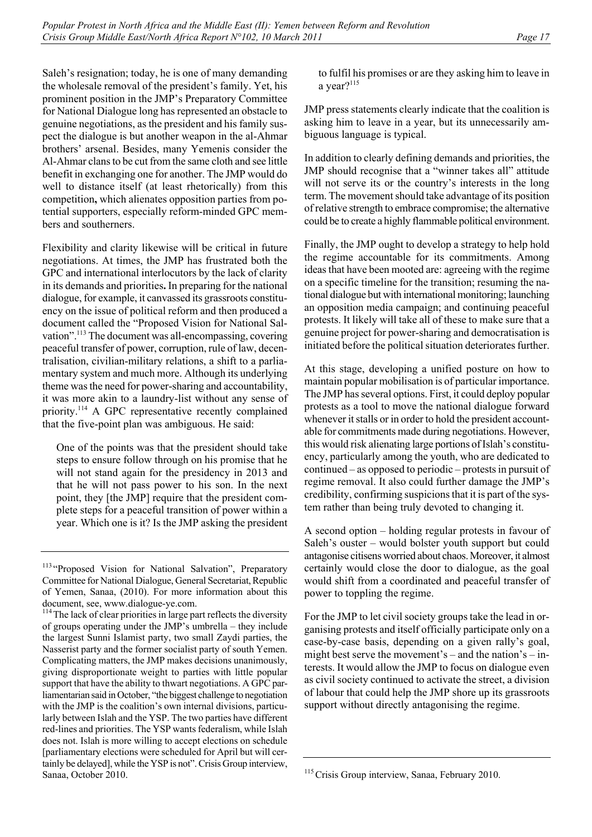Saleh's resignation; today, he is one of many demanding the wholesale removal of the president's family. Yet, his prominent position in the JMP's Preparatory Committee for National Dialogue long has represented an obstacle to genuine negotiations, as the president and his family suspect the dialogue is but another weapon in the al-Ahmar brothers' arsenal. Besides, many Yemenis consider the Al-Ahmar clans to be cut from the same cloth and see little benefit in exchanging one for another. The JMP would do well to distance itself (at least rhetorically) from this competition**,** which alienates opposition parties from potential supporters, especially reform-minded GPC members and southerners.

Flexibility and clarity likewise will be critical in future negotiations. At times, the JMP has frustrated both the GPC and international interlocutors by the lack of clarity in its demands and priorities**.** In preparing for the national dialogue, for example, it canvassed its grassroots constituency on the issue of political reform and then produced a document called the "Proposed Vision for National Salvation".<sup>113</sup> The document was all-encompassing, covering peaceful transfer of power, corruption, rule of law, decentralisation, civilian-military relations, a shift to a parliamentary system and much more. Although its underlying theme was the need for power-sharing and accountability, it was more akin to a laundry-list without any sense of priority.114 A GPC representative recently complained that the five-point plan was ambiguous. He said:

One of the points was that the president should take steps to ensure follow through on his promise that he will not stand again for the presidency in 2013 and that he will not pass power to his son. In the next point, they [the JMP] require that the president complete steps for a peaceful transition of power within a year. Which one is it? Is the JMP asking the president to fulfil his promises or are they asking him to leave in a year?<sup>115</sup>

JMP press statements clearly indicate that the coalition is asking him to leave in a year, but its unnecessarily ambiguous language is typical.

In addition to clearly defining demands and priorities, the JMP should recognise that a "winner takes all" attitude will not serve its or the country's interests in the long term. The movement should take advantage of its position of relative strength to embrace compromise; the alternative could be to create a highly flammable political environment.

Finally, the JMP ought to develop a strategy to help hold the regime accountable for its commitments. Among ideas that have been mooted are: agreeing with the regime on a specific timeline for the transition; resuming the national dialogue but with international monitoring; launching an opposition media campaign; and continuing peaceful protests. It likely will take all of these to make sure that a genuine project for power-sharing and democratisation is initiated before the political situation deteriorates further.

At this stage, developing a unified posture on how to maintain popular mobilisation is of particular importance. The JMP has several options. First, it could deploy popular protests as a tool to move the national dialogue forward whenever it stalls or in order to hold the president accountable for commitments made during negotiations. However, this would risk alienating large portions of Islah's constituency, particularly among the youth, who are dedicated to continued – as opposed to periodic – protests in pursuit of regime removal. It also could further damage the JMP's credibility, confirming suspicions that it is part of the system rather than being truly devoted to changing it.

A second option – holding regular protests in favour of Saleh's ouster – would bolster youth support but could antagonise citisens worried about chaos. Moreover, it almost certainly would close the door to dialogue, as the goal would shift from a coordinated and peaceful transfer of power to toppling the regime.

For the JMP to let civil society groups take the lead in organising protests and itself officially participate only on a case-by-case basis, depending on a given rally's goal, might best serve the movement's – and the nation's – interests. It would allow the JMP to focus on dialogue even as civil society continued to activate the street, a division of labour that could help the JMP shore up its grassroots support without directly antagonising the regime.

<sup>&</sup>lt;sup>113</sup> "Proposed Vision for National Salvation", Preparatory Committee for National Dialogue, General Secretariat, Republic of Yemen, Sanaa, (2010). For more information about this document, see, www.dialogue-ye.com.

<sup>&</sup>lt;sup>114</sup> The lack of clear priorities in large part reflects the diversity of groups operating under the JMP's umbrella – they include the largest Sunni Islamist party, two small Zaydi parties, the Nasserist party and the former socialist party of south Yemen. Complicating matters, the JMP makes decisions unanimously, giving disproportionate weight to parties with little popular support that have the ability to thwart negotiations. A GPC parliamentarian said in October, "the biggest challenge to negotiation with the JMP is the coalition's own internal divisions, particularly between Islah and the YSP. The two parties have different red-lines and priorities. The YSP wants federalism, while Islah does not. Islah is more willing to accept elections on schedule [parliamentary elections were scheduled for April but will certainly be delayed], while the YSP is not". Crisis Group interview, Sanaa, October 2010.

<sup>&</sup>lt;sup>115</sup> Crisis Group interview, Sanaa, February 2010.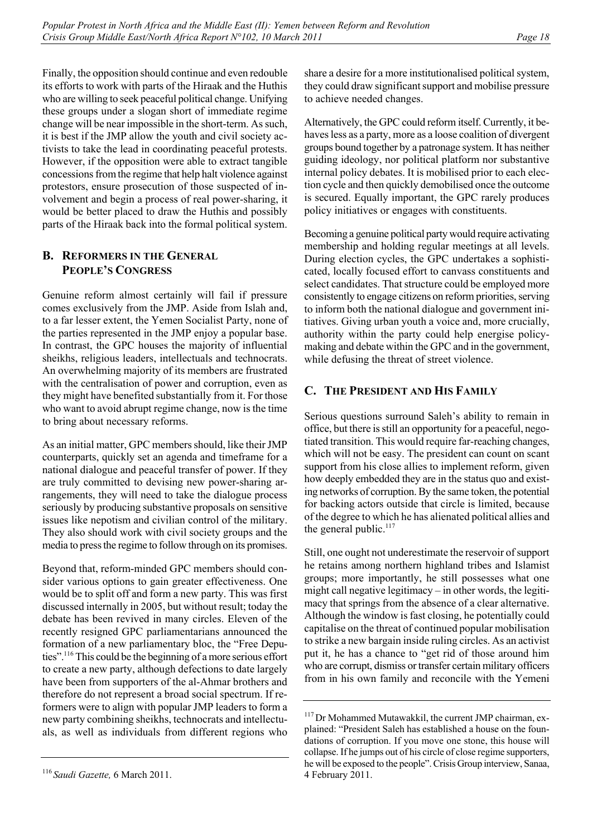Finally, the opposition should continue and even redouble its efforts to work with parts of the Hiraak and the Huthis who are willing to seek peaceful political change. Unifying these groups under a slogan short of immediate regime change will be near impossible in the short-term. As such, it is best if the JMP allow the youth and civil society activists to take the lead in coordinating peaceful protests. However, if the opposition were able to extract tangible concessions from the regime that help halt violence against protestors, ensure prosecution of those suspected of involvement and begin a process of real power-sharing, it would be better placed to draw the Huthis and possibly parts of the Hiraak back into the formal political system.

# **B. REFORMERS IN THE GENERAL PEOPLE'S CONGRESS**

Genuine reform almost certainly will fail if pressure comes exclusively from the JMP. Aside from Islah and, to a far lesser extent, the Yemen Socialist Party, none of the parties represented in the JMP enjoy a popular base. In contrast, the GPC houses the majority of influential sheikhs, religious leaders, intellectuals and technocrats. An overwhelming majority of its members are frustrated with the centralisation of power and corruption, even as they might have benefited substantially from it. For those who want to avoid abrupt regime change, now is the time to bring about necessary reforms.

As an initial matter, GPC members should, like their JMP counterparts, quickly set an agenda and timeframe for a national dialogue and peaceful transfer of power. If they are truly committed to devising new power-sharing arrangements, they will need to take the dialogue process seriously by producing substantive proposals on sensitive issues like nepotism and civilian control of the military. They also should work with civil society groups and the media to press the regime to follow through on its promises.

Beyond that, reform-minded GPC members should consider various options to gain greater effectiveness. One would be to split off and form a new party. This was first discussed internally in 2005, but without result; today the debate has been revived in many circles. Eleven of the recently resigned GPC parliamentarians announced the formation of a new parliamentary bloc, the "Free Deputies".116 This could be the beginning of a more serious effort to create a new party, although defections to date largely have been from supporters of the al-Ahmar brothers and therefore do not represent a broad social spectrum. If reformers were to align with popular JMP leaders to form a new party combining sheikhs, technocrats and intellectuals, as well as individuals from different regions who share a desire for a more institutionalised political system, they could draw significant support and mobilise pressure to achieve needed changes.

Alternatively, the GPC could reform itself. Currently, it behaves less as a party, more as a loose coalition of divergent groups bound together by a patronage system. It has neither guiding ideology, nor political platform nor substantive internal policy debates. It is mobilised prior to each election cycle and then quickly demobilised once the outcome is secured. Equally important, the GPC rarely produces policy initiatives or engages with constituents.

Becoming a genuine political party would require activating membership and holding regular meetings at all levels. During election cycles, the GPC undertakes a sophisticated, locally focused effort to canvass constituents and select candidates. That structure could be employed more consistently to engage citizens on reform priorities, serving to inform both the national dialogue and government initiatives. Giving urban youth a voice and, more crucially, authority within the party could help energise policymaking and debate within the GPC and in the government, while defusing the threat of street violence.

# **C. THE PRESIDENT AND HIS FAMILY**

Serious questions surround Saleh's ability to remain in office, but there is still an opportunity for a peaceful, negotiated transition. This would require far-reaching changes, which will not be easy. The president can count on scant support from his close allies to implement reform, given how deeply embedded they are in the status quo and existing networks of corruption. By the same token, the potential for backing actors outside that circle is limited, because of the degree to which he has alienated political allies and the general public.<sup>117</sup>

Still, one ought not underestimate the reservoir of support he retains among northern highland tribes and Islamist groups; more importantly, he still possesses what one might call negative legitimacy – in other words, the legitimacy that springs from the absence of a clear alternative. Although the window is fast closing, he potentially could capitalise on the threat of continued popular mobilisation to strike a new bargain inside ruling circles. As an activist put it, he has a chance to "get rid of those around him who are corrupt, dismiss or transfer certain military officers from in his own family and reconcile with the Yemeni

<sup>116</sup> *Saudi Gazette,* 6 March 2011.

<sup>&</sup>lt;sup>117</sup> Dr Mohammed Mutawakkil, the current JMP chairman, explained: "President Saleh has established a house on the foundations of corruption. If you move one stone, this house will collapse. If he jumps out of his circle of close regime supporters, he will be exposed to the people". Crisis Group interview, Sanaa, 4 February 2011.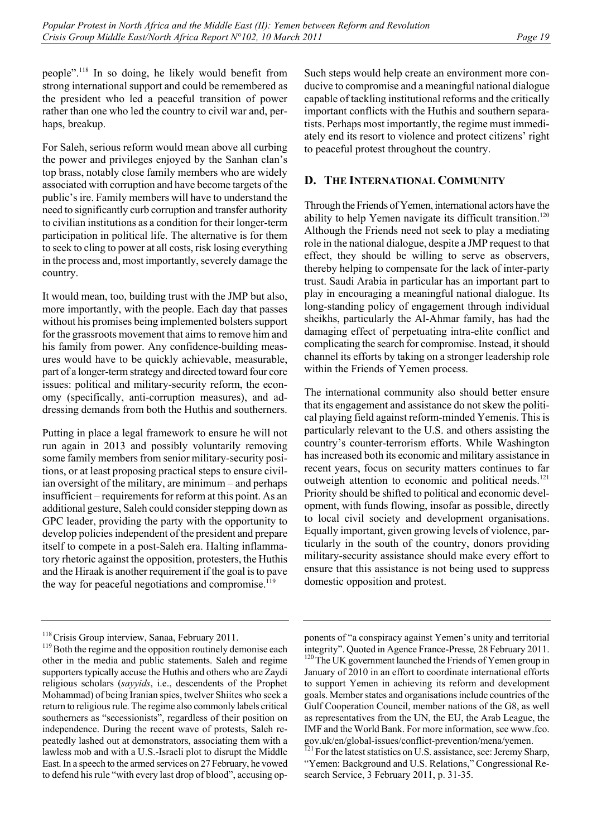people".118 In so doing, he likely would benefit from strong international support and could be remembered as the president who led a peaceful transition of power rather than one who led the country to civil war and, perhaps, breakup.

For Saleh, serious reform would mean above all curbing the power and privileges enjoyed by the Sanhan clan's top brass, notably close family members who are widely associated with corruption and have become targets of the public's ire. Family members will have to understand the need to significantly curb corruption and transfer authority to civilian institutions as a condition for their longer-term participation in political life. The alternative is for them to seek to cling to power at all costs, risk losing everything in the process and, most importantly, severely damage the country.

It would mean, too, building trust with the JMP but also, more importantly, with the people. Each day that passes without his promises being implemented bolsters support for the grassroots movement that aims to remove him and his family from power. Any confidence-building measures would have to be quickly achievable, measurable, part of a longer-term strategy and directed toward four core issues: political and military-security reform, the economy (specifically, anti-corruption measures), and addressing demands from both the Huthis and southerners.

Putting in place a legal framework to ensure he will not run again in 2013 and possibly voluntarily removing some family members from senior military-security positions, or at least proposing practical steps to ensure civilian oversight of the military, are minimum – and perhaps insufficient – requirements for reform at this point. As an additional gesture, Saleh could consider stepping down as GPC leader, providing the party with the opportunity to develop policies independent of the president and prepare itself to compete in a post-Saleh era. Halting inflammatory rhetoric against the opposition, protesters, the Huthis and the Hiraak is another requirement if the goal is to pave the way for peaceful negotiations and compromise.<sup>119</sup>

Such steps would help create an environment more conducive to compromise and a meaningful national dialogue capable of tackling institutional reforms and the critically important conflicts with the Huthis and southern separatists. Perhaps most importantly, the regime must immediately end its resort to violence and protect citizens' right to peaceful protest throughout the country.

# **D. THE INTERNATIONAL COMMUNITY**

Through the Friends of Yemen, international actors have the ability to help Yemen navigate its difficult transition.<sup>120</sup> Although the Friends need not seek to play a mediating role in the national dialogue, despite a JMP request to that effect, they should be willing to serve as observers, thereby helping to compensate for the lack of inter-party trust. Saudi Arabia in particular has an important part to play in encouraging a meaningful national dialogue. Its long-standing policy of engagement through individual sheikhs, particularly the Al-Ahmar family, has had the damaging effect of perpetuating intra-elite conflict and complicating the search for compromise. Instead, it should channel its efforts by taking on a stronger leadership role within the Friends of Yemen process.

The international community also should better ensure that its engagement and assistance do not skew the political playing field against reform-minded Yemenis. This is particularly relevant to the U.S. and others assisting the country's counter-terrorism efforts. While Washington has increased both its economic and military assistance in recent years, focus on security matters continues to far outweigh attention to economic and political needs.<sup>121</sup> Priority should be shifted to political and economic development, with funds flowing, insofar as possible, directly to local civil society and development organisations. Equally important, given growing levels of violence, particularly in the south of the country, donors providing military-security assistance should make every effort to ensure that this assistance is not being used to suppress domestic opposition and protest.

<sup>&</sup>lt;sup>118</sup>Crisis Group interview, Sanaa, February 2011.<br><sup>119</sup>Both the regime and the opposition routinely demonise each other in the media and public statements. Saleh and regime supporters typically accuse the Huthis and others who are Zaydi religious scholars (*sayyids*, i.e., descendents of the Prophet Mohammad) of being Iranian spies, twelver Shiites who seek a return to religious rule. The regime also commonly labels critical southerners as "secessionists", regardless of their position on independence. During the recent wave of protests, Saleh repeatedly lashed out at demonstrators, associating them with a lawless mob and with a U.S.-Israeli plot to disrupt the Middle East. In a speech to the armed services on 27 February, he vowed to defend his rule "with every last drop of blood", accusing op-

ponents of "a conspiracy against Yemen's unity and territorial integrity". Quoted in Agence France-Presse, 28 February 2011.<br><sup>120</sup>The UK government launched the Friends of Yemen group in January of 2010 in an effort to coordinate international efforts to support Yemen in achieving its reform and development goals. Member states and organisations include countries of the Gulf Cooperation Council, member nations of the G8, as well as representatives from the UN, the EU, the Arab League, the IMF and the World Bank. For more information, see www.fco. gov.uk/en/global-issues/conflict-prevention/mena/yemen.

 $<sup>[21]</sup>$  For the latest statistics on U.S. assistance, see: Jeremy Sharp,</sup> "Yemen: Background and U.S. Relations," Congressional Research Service, 3 February 2011, p. 31-35.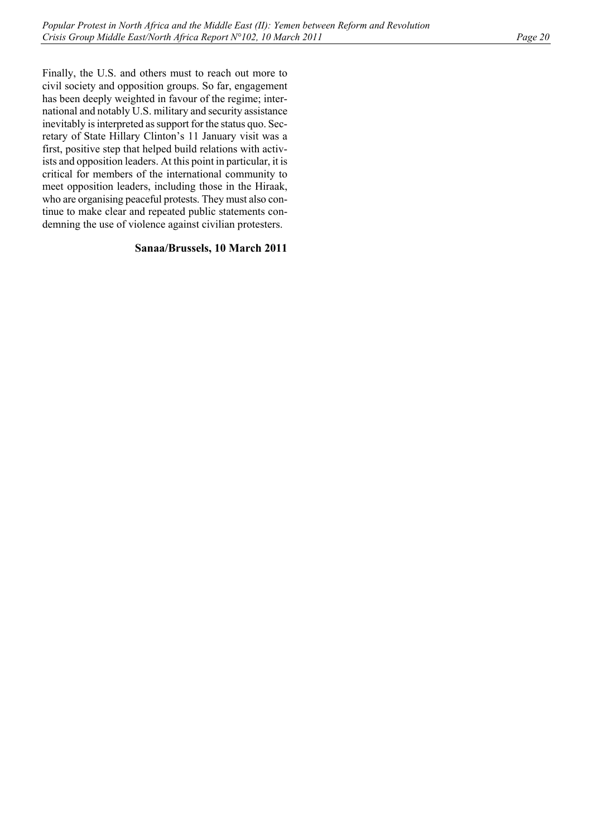Finally, the U.S. and others must to reach out more to civil society and opposition groups. So far, engagement has been deeply weighted in favour of the regime; international and notably U.S. military and security assistance inevitably is interpreted as support for the status quo. Secretary of State Hillary Clinton's 11 January visit was a first, positive step that helped build relations with activists and opposition leaders. At this point in particular, it is critical for members of the international community to meet opposition leaders, including those in the Hiraak, who are organising peaceful protests. They must also continue to make clear and repeated public statements condemning the use of violence against civilian protesters.

## **Sanaa/Brussels, 10 March 2011**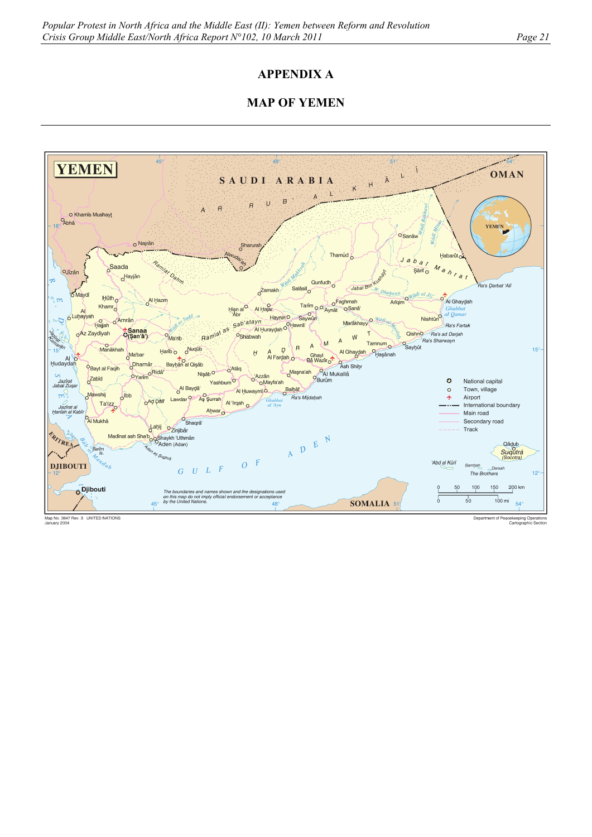# **APPENDIX A**

# **MAP OF YEMEN**



Map No. 3847 Rev. 3 UNITED NATIONS<br>January 2004

Department of Peacekeeping Operations<br>Cartographic Section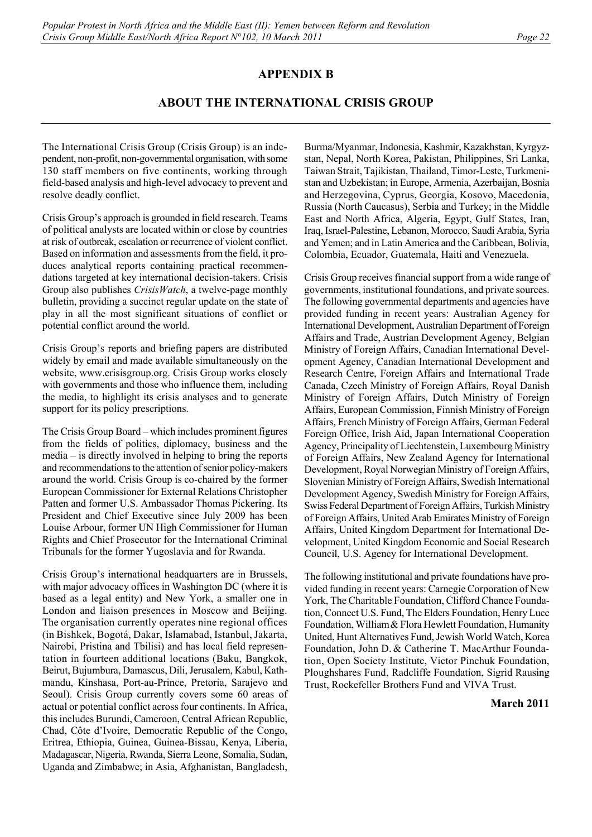# **APPENDIX B**

# **ABOUT THE INTERNATIONAL CRISIS GROUP**

The International Crisis Group (Crisis Group) is an independent, non-profit, non-governmental organisation, with some 130 staff members on five continents, working through field-based analysis and high-level advocacy to prevent and resolve deadly conflict.

Crisis Group's approach is grounded in field research. Teams of political analysts are located within or close by countries at risk of outbreak, escalation or recurrence of violent conflict. Based on information and assessments from the field, it produces analytical reports containing practical recommendations targeted at key international decision-takers. Crisis Group also publishes *CrisisWatch*, a twelve-page monthly bulletin, providing a succinct regular update on the state of play in all the most significant situations of conflict or potential conflict around the world.

Crisis Group's reports and briefing papers are distributed widely by email and made available simultaneously on the website, www.crisisgroup.org. Crisis Group works closely with governments and those who influence them, including the media, to highlight its crisis analyses and to generate support for its policy prescriptions.

The Crisis Group Board – which includes prominent figures from the fields of politics, diplomacy, business and the media – is directly involved in helping to bring the reports and recommendations to the attention of senior policy-makers around the world. Crisis Group is co-chaired by the former European Commissioner for External Relations Christopher Patten and former U.S. Ambassador Thomas Pickering. Its President and Chief Executive since July 2009 has been Louise Arbour, former UN High Commissioner for Human Rights and Chief Prosecutor for the International Criminal Tribunals for the former Yugoslavia and for Rwanda.

Crisis Group's international headquarters are in Brussels, with major advocacy offices in Washington DC (where it is based as a legal entity) and New York, a smaller one in London and liaison presences in Moscow and Beijing. The organisation currently operates nine regional offices (in Bishkek, Bogotá, Dakar, Islamabad, Istanbul, Jakarta, Nairobi, Pristina and Tbilisi) and has local field representation in fourteen additional locations (Baku, Bangkok, Beirut, Bujumbura, Damascus, Dili, Jerusalem, Kabul, Kathmandu, Kinshasa, Port-au-Prince, Pretoria, Sarajevo and Seoul). Crisis Group currently covers some 60 areas of actual or potential conflict across four continents. In Africa, this includes Burundi, Cameroon, Central African Republic, Chad, Côte d'Ivoire, Democratic Republic of the Congo, Eritrea, Ethiopia, Guinea, Guinea-Bissau, Kenya, Liberia, Madagascar, Nigeria, Rwanda, Sierra Leone, Somalia, Sudan, Uganda and Zimbabwe; in Asia, Afghanistan, Bangladesh,

Burma/Myanmar, Indonesia, Kashmir, Kazakhstan, Kyrgyzstan, Nepal, North Korea, Pakistan, Philippines, Sri Lanka, Taiwan Strait, Tajikistan, Thailand, Timor-Leste, Turkmenistan and Uzbekistan; in Europe, Armenia, Azerbaijan, Bosnia and Herzegovina, Cyprus, Georgia, Kosovo, Macedonia, Russia (North Caucasus), Serbia and Turkey; in the Middle East and North Africa, Algeria, Egypt, Gulf States, Iran, Iraq, Israel-Palestine, Lebanon, Morocco, Saudi Arabia, Syria and Yemen; and in Latin America and the Caribbean, Bolivia, Colombia, Ecuador, Guatemala, Haiti and Venezuela.

Crisis Group receives financial support from a wide range of governments, institutional foundations, and private sources. The following governmental departments and agencies have provided funding in recent years: Australian Agency for International Development, Australian Department of Foreign Affairs and Trade, Austrian Development Agency, Belgian Ministry of Foreign Affairs, Canadian International Development Agency, Canadian International Development and Research Centre, Foreign Affairs and International Trade Canada, Czech Ministry of Foreign Affairs, Royal Danish Ministry of Foreign Affairs, Dutch Ministry of Foreign Affairs, European Commission, Finnish Ministry of Foreign Affairs, French Ministry of Foreign Affairs, German Federal Foreign Office, Irish Aid, Japan International Cooperation Agency, Principality of Liechtenstein, Luxembourg Ministry of Foreign Affairs, New Zealand Agency for International Development, Royal Norwegian Ministry of Foreign Affairs, Slovenian Ministry of Foreign Affairs, Swedish International Development Agency, Swedish Ministry for Foreign Affairs, Swiss Federal Department of Foreign Affairs, Turkish Ministry of Foreign Affairs, United Arab Emirates Ministry of Foreign Affairs, United Kingdom Department for International Development, United Kingdom Economic and Social Research Council, U.S. Agency for International Development.

The following institutional and private foundations have provided funding in recent years: Carnegie Corporation of New York, The Charitable Foundation, Clifford Chance Foundation, Connect U.S. Fund, The Elders Foundation, Henry Luce Foundation, William& Flora Hewlett Foundation, Humanity United, Hunt Alternatives Fund, Jewish World Watch, Korea Foundation, John D. & Catherine T. MacArthur Foundation, Open Society Institute, Victor Pinchuk Foundation, Ploughshares Fund, Radcliffe Foundation, Sigrid Rausing Trust, Rockefeller Brothers Fund and VIVA Trust.

## **March 2011**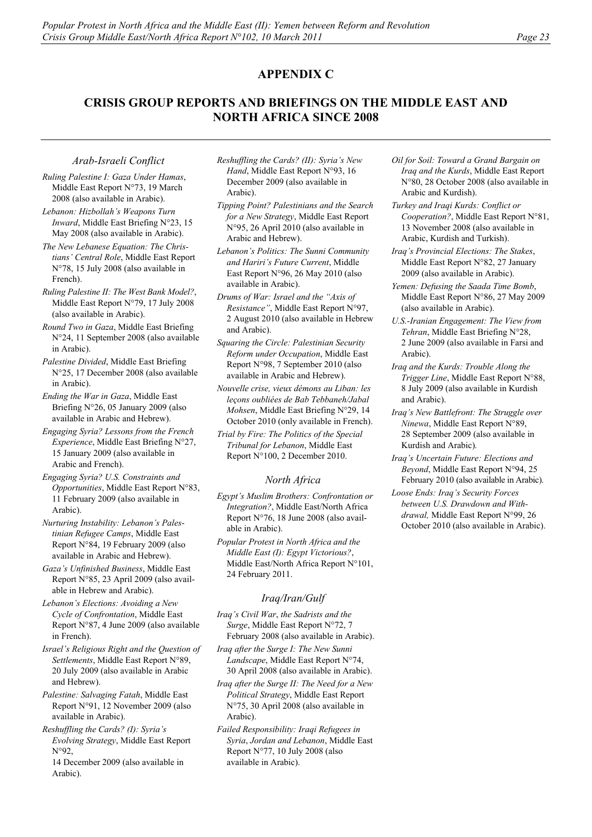# **APPENDIX C**

# **CRISIS GROUP REPORTS AND BRIEFINGS ON THE MIDDLE EAST AND NORTH AFRICA SINCE 2008**

### *Arab-Israeli Conflict*

- *Ruling Palestine I: Gaza Under Hamas*, Middle East Report N°73, 19 March 2008 (also available in Arabic).
- *Lebanon: Hizbollah's Weapons Turn Inward*, Middle East Briefing N°23, 15 May 2008 (also available in Arabic).
- *The New Lebanese Equation: The Christians' Central Role*, Middle East Report N°78, 15 July 2008 (also available in French).
- *Ruling Palestine II: The West Bank Model?*, Middle East Report N°79, 17 July 2008 (also available in Arabic).
- *Round Two in Gaza*, Middle East Briefing N°24, 11 September 2008 (also available in Arabic).
- *Palestine Divided*, Middle East Briefing N°25, 17 December 2008 (also available in Arabic).
- *Ending the War in Gaza*, Middle East Briefing N°26, 05 January 2009 (also available in Arabic and Hebrew).
- *Engaging Syria? Lessons from the French Experience*, Middle East Briefing N°27, 15 January 2009 (also available in Arabic and French).
- *Engaging Syria? U.S. Constraints and Opportunities*, Middle East Report N°83, 11 February 2009 (also available in Arabic).
- *Nurturing Instability: Lebanon's Palestinian Refugee Camps*, Middle East Report N°84, 19 February 2009 (also available in Arabic and Hebrew).
- *Gaza's Unfinished Business*, Middle East Report N°85, 23 April 2009 (also available in Hebrew and Arabic).
- *Lebanon's Elections: Avoiding a New Cycle of Confrontation*, Middle East Report N°87, 4 June 2009 (also available in French).
- *Israel's Religious Right and the Question of Settlements*, Middle East Report N°89, 20 July 2009 (also available in Arabic and Hebrew).
- *Palestine: Salvaging Fatah*, Middle East Report N°91, 12 November 2009 (also available in Arabic).
- *Reshuffling the Cards? (I): Syria's Evolving Strategy*, Middle East Report  $N°92$

14 December 2009 (also available in Arabic).

- *Reshuffling the Cards? (II): Syria's New Hand*, Middle East Report N°93, 16 December 2009 (also available in Arabic).
- *Tipping Point? Palestinians and the Search for a New Strategy*, Middle East Report N°95, 26 April 2010 (also available in Arabic and Hebrew).
- *Lebanon's Politics: The Sunni Community and Hariri's Future Current*, Middle East Report N°96, 26 May 2010 (also available in Arabic).
- *Drums of War: Israel and the "Axis of Resistance"*, Middle East Report N°97, 2 August 2010 (also available in Hebrew and Arabic).
- *Squaring the Circle: Palestinian Security Reform under Occupation*, Middle East Report N°98, 7 September 2010 (also available in Arabic and Hebrew).
- *Nouvelle crise, vieux démons au Liban: les leçons oubliées de Bab Tebbaneh/Jabal Mohsen*, Middle East Briefing N°29, 14 October 2010 (only available in French).
- *Trial by Fire: The Politics of the Special Tribunal for Lebanon*, Middle East Report N°100, 2 December 2010.

## *North Africa*

- *Egypt's Muslim Brothers: Confrontation or Integration?*, Middle East/North Africa Report N°76, 18 June 2008 (also available in Arabic).
- *Popular Protest in North Africa and the Middle East (I): Egypt Victorious?*, Middle East/North Africa Report N°101, 24 February 2011.

## *Iraq/Iran/Gulf*

- *Iraq's Civil War*, *the Sadrists and the Surge*, Middle East Report N°72, 7 February 2008 (also available in Arabic).
- *Iraq after the Surge I: The New Sunni Landscape*, Middle East Report N°74, 30 April 2008 (also available in Arabic).
- *Iraq after the Surge II: The Need for a New Political Strategy*, Middle East Report N°75, 30 April 2008 (also available in Arabic).
- *Failed Responsibility: Iraqi Refugees in Syria*, *Jordan and Lebanon*, Middle East Report N°77, 10 July 2008 (also available in Arabic).
- *Oil for Soil: Toward a Grand Bargain on Iraq and the Kurds*, Middle East Report N°80, 28 October 2008 (also available in Arabic and Kurdish).
- *Turkey and Iraqi Kurds: Conflict or Cooperation?*, Middle East Report N°81, 13 November 2008 (also available in Arabic, Kurdish and Turkish).
- *Iraq's Provincial Elections: The Stakes*, Middle East Report N°82, 27 January 2009 (also available in Arabic).
- *Yemen: Defusing the Saada Time Bomb*, Middle East Report N°86, 27 May 2009 (also available in Arabic).
- *U.S.-Iranian Engagement: The View from Tehran*, Middle East Briefing N°28, 2 June 2009 (also available in Farsi and Arabic).
- *Iraq and the Kurds: Trouble Along the Trigger Line*, Middle East Report N°88, 8 July 2009 (also available in Kurdish and Arabic).
- *Iraq's New Battlefront: The Struggle over Ninewa*, Middle East Report N°89, 28 September 2009 (also available in Kurdish and Arabic).
- *Iraq's Uncertain Future: Elections and Beyond*, Middle East Report N°94, 25 February 2010 (also available in Arabic).
- *Loose Ends: Iraq's Security Forces between U.S. Drawdown and Withdrawal,* Middle East Report N°99, 26 October 2010 (also available in Arabic).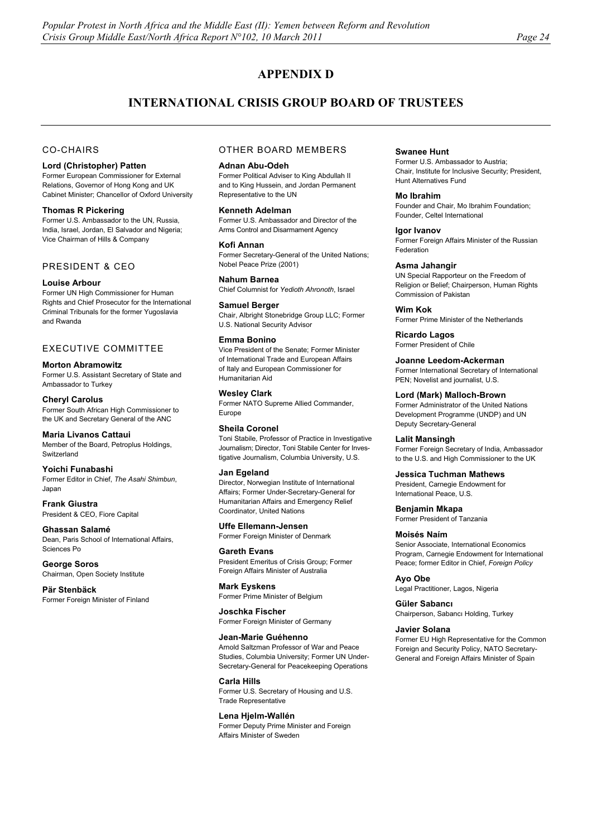# **APPENDIX D**

# **INTERNATIONAL CRISIS GROUP BOARD OF TRUSTEES**

## CO-CHAIRS

#### **Lord (Christopher) Patten**

Former European Commissioner for External Relations, Governor of Hong Kong and UK Cabinet Minister; Chancellor of Oxford University

### **Thomas R Pickering**

Former U.S. Ambassador to the UN, Russia, India, Israel, Jordan, El Salvador and Nigeria; Vice Chairman of Hills & Company

## PRESIDENT & CEO

### **Louise Arbour**

Former UN High Commissioner for Human Rights and Chief Prosecutor for the International Criminal Tribunals for the former Yugoslavia and Rwanda

### EXECUTIVE COMMITTEE

### **Morton Abramowitz**

Former U.S. Assistant Secretary of State and Ambassador to Turkey

## **Cheryl Carolus**

Former South African High Commissioner to the UK and Secretary General of the ANC

#### **Maria Livanos Cattaui**

Member of the Board, Petroplus Holdings, **Switzerland** 

#### **Yoichi Funabashi**

Former Editor in Chief, *The Asahi Shimbun*, Japan

**Frank Giustra**  President & CEO, Fiore Capital

**Ghassan Salamé** Dean, Paris School of International Affairs, Sciences Po

**George Soros**  Chairman, Open Society Institute

### **Pär Stenbäck**

Former Foreign Minister of Finland

## OTHER BOARD MEMBERS

#### **Adnan Abu-Odeh**

Former Political Adviser to King Abdullah II and to King Hussein, and Jordan Permanent Representative to the UN

### **Kenneth Adelman**

Former U.S. Ambassador and Director of the Arms Control and Disarmament Agency

#### **Kofi Annan**

Former Secretary-General of the United Nations; Nobel Peace Prize (2001)

#### **Nahum Barnea**  Chief Columnist for *Yedioth Ahronoth*, Israel

**Samuel Berger** 

## Chair, Albright Stonebridge Group LLC; Former U.S. National Security Advisor

## **Emma Bonino**

Vice President of the Senate; Former Minister of International Trade and European Affairs of Italy and European Commissioner for Humanitarian Aid

#### **Wesley Clark**

Former NATO Supreme Allied Commander, Europe

### **Sheila Coronel**

Toni Stabile, Professor of Practice in Investigative Journalism; Director, Toni Stabile Center for Investigative Journalism, Columbia University, U.S.

### **Jan Egeland**

Director, Norwegian Institute of International Affairs; Former Under-Secretary-General for Humanitarian Affairs and Emergency Relief Coordinator, United Nations

## **Uffe Ellemann-Jensen**

Former Foreign Minister of Denmark

## **Gareth Evans**  President Emeritus of Crisis Group; Former

Foreign Affairs Minister of Australia **Mark Eyskens** 

Former Prime Minister of Belgium

#### **Joschka Fischer**

Former Foreign Minister of Germany

### **Jean-Marie Guéhenno**

Arnold Saltzman Professor of War and Peace Studies, Columbia University; Former UN Under-Secretary-General for Peacekeeping Operations

## **Carla Hills**

Former U.S. Secretary of Housing and U.S. Trade Representative

#### **Lena Hjelm-Wallén**

Former Deputy Prime Minister and Foreign Affairs Minister of Sweden

#### **Swanee Hunt**

Former U.S. Ambassador to Austria; Chair, Institute for Inclusive Security; President, Hunt Alternatives Fund

#### **Mo Ibrahim**

Founder and Chair, Mo Ibrahim Foundation; Founder, Celtel International

## **Igor Ivanov**

Former Foreign Affairs Minister of the Russian Federation

### **Asma Jahangir**

UN Special Rapporteur on the Freedom of Religion or Belief; Chairperson, Human Rights Commission of Pakistan

## **Wim Kok**

Former Prime Minister of the Netherlands

**Ricardo Lagos**  Former President of Chile

## **Joanne Leedom-Ackerman**

Former International Secretary of International PEN; Novelist and journalist, U.S.

#### **Lord (Mark) Malloch-Brown**

Former Administrator of the United Nations Development Programme (UNDP) and UN Deputy Secretary-General

#### **Lalit Mansingh**

Former Foreign Secretary of India, Ambassador to the U.S. and High Commissioner to the UK

### **Jessica Tuchman Mathews**

President, Carnegie Endowment for International Peace, U.S.

**Benjamin Mkapa**  Former President of Tanzania

#### **Moisés Naím**

Senior Associate, International Economics Program, Carnegie Endowment for International Peace; former Editor in Chief, *Foreign Policy*

**Ayo Obe**  Legal Practitioner, Lagos, Nigeria

**Güler Sabancı** Chairperson, Sabancı Holding, Turkey

#### **Javier Solana**

Former EU High Representative for the Common Foreign and Security Policy, NATO Secretary-General and Foreign Affairs Minister of Spain